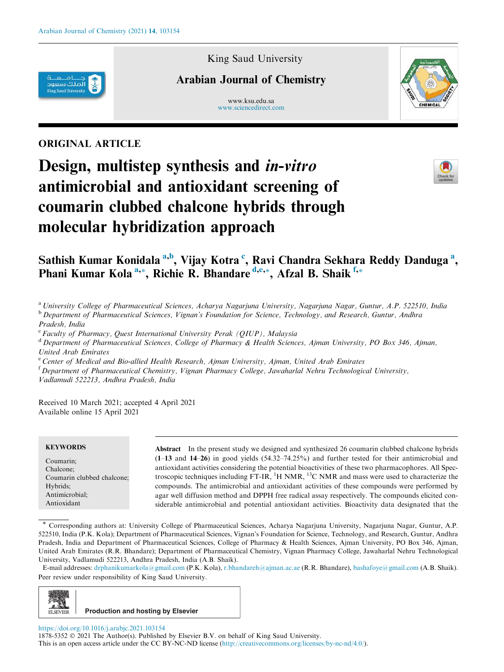

King Saud University

# Arabian Journal of Chemistry

www.ksu.edu.sa www.sciencedirect.com



## ORIGINAL ARTICLE

# Design, multistep synthesis and *in-vitro* antimicrobial and antioxidant screening of coumarin clubbed chalcone hybrids through molecular hybridization approach



# Sathish Kumar Konidala <sup>a,b</sup>, Vijay Kotra <sup>c</sup>, Ravi Chandra Sekhara Reddy Danduga <sup>a</sup>, Phani Kumar Kola<sup>a,\*</sup>, Richie R. Bhandare<sup>d,e,\*</sup>, Afzal B. Shaik<sup>f,\*</sup>

<sup>a</sup>*University College of Pharmaceutical Sciences, Acharya Nagarjuna University, Nagarjuna Nagar, Guntur, A.P. 522510, India* <sup>b</sup> *Department of Pharmaceutical Sciences, Vignan's Foundation for Science, Technology, and Research, Guntur, Andhra*

*Pradesh, India*

c *Faculty of Pharmacy, Quest International University Perak (QIUP), Malaysia*

<sup>d</sup> *Department of Pharmaceutical Sciences, College of Pharmacy & Health Sciences, Ajman University, PO Box 346, Ajman, United Arab Emirates*

<sup>e</sup> *Center of Medical and Bio-allied Health Research, Ajman University, Ajman, United Arab Emirates*

<sup>f</sup> *Department of Pharmaceutical Chemistry, Vignan Pharmacy College, Jawaharlal Nehru Technological University, Vadlamudi 522213, Andhra Pradesh, India*

Received 10 March 2021; accepted 4 April 2021 Available online 15 April 2021

#### **KEYWORDS**

Coumarin; Chalcone; Coumarin clubbed chalcone; Hybrids; Antimicrobial; Antioxidant

Abstract In the present study we designed and synthesized 26 coumarin clubbed chalcone hybrids (1–13 and 14–26) in good yields (54.32–74.25%) and further tested for their antimicrobial and antioxidant activities considering the potential bioactivities of these two pharmacophores. All Spectroscopic techniques including FT-IR,  ${}^{1}$ H NMR,  ${}^{13}$ C NMR and mass were used to characterize the compounds. The antimicrobial and antioxidant activities of these compounds were performed by agar well diffusion method and DPPH free radical assay respectively. The compounds elicited considerable antimicrobial and potential antioxidant activities. Bioactivity data designated that the

\* Corresponding authors at: University College of Pharmaceutical Sciences, Acharya Nagarjuna University, Nagarjuna Nagar, Guntur, A.P. 522510, India (P.K. Kola); Department of Pharmaceutical Sciences, Vignan's Foundation for Science, Technology, and Research, Guntur, Andhra Pradesh, India and Department of Pharmaceutical Sciences, College of Pharmacy & Health Sciences, Ajman University, PO Box 346, Ajman, United Arab Emirates (R.R. Bhandare); Department of Pharmaceutical Chemistry, Vignan Pharmacy College, Jawaharlal Nehru Technological University, Vadlamudi 522213, Andhra Pradesh, India (A.B. Shaik).

E-mail addresses: drphanikumarkola@gmail.com (P.K. Kola), r.bhandareh@ajman.ac.ae (R.R. Bhandare), bashafoye@gmail.com (A.B. Shaik). Peer review under responsibility of King Saud University.



https://doi.org/10.1016/j.arabjc.2021.103154 1878-5352 © 2021 The Author(s). Published by Elsevier B.V. on behalf of King Saud University. This is an open access article under the CC BY-NC-ND license (http://creativecommons.org/licenses/by-nc-nd/4.0/).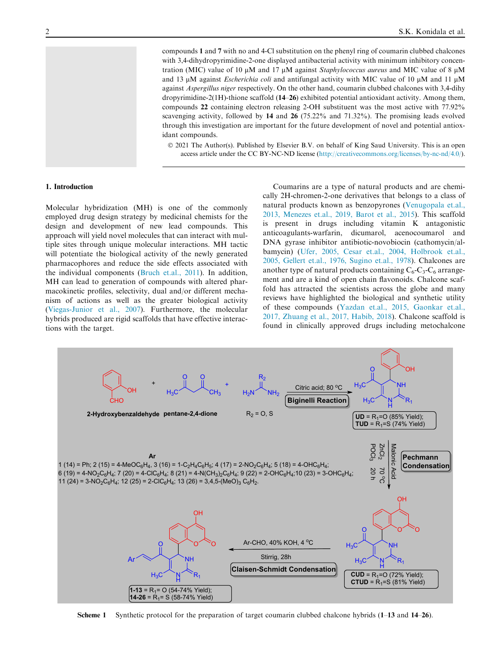compounds 1 and 7 with no and 4-Cl substitution on the phenyl ring of coumarin clubbed chalcones with 3,4-dihydropyrimidine-2-one displayed antibacterial activity with minimum inhibitory concentration (MIC) value of 10  $\mu$ M and 17  $\mu$ M against *Staphylococcus aureus* and MIC value of 8  $\mu$ M and 13  $\mu$ M against *Escherichia coli* and antifungal activity with MIC value of 10  $\mu$ M and 11  $\mu$ M against *Aspergillus niger* respectively. On the other hand, coumarin clubbed chalcones with 3,4-dihy dropyrimidine-2(1H)-thione scaffold (14–26) exhibited potential antioxidant activity. Among them, compounds 22 containing electron releasing 2-OH substituent was the most active with 77.92% scavenging activity, followed by 14 and 26 (75.22% and 71.32%). The promising leads evolved through this investigation are important for the future development of novel and potential antioxidant compounds.

 2021 The Author(s). Published by Elsevier B.V. on behalf of King Saud University. This is an open access article under the CC BY-NC-ND license (http://creativecommons.org/licenses/by-nc-nd/4.0/).

#### 1. Introduction

Molecular hybridization (MH) is one of the commonly employed drug design strategy by medicinal chemists for the design and development of new lead compounds. This approach will yield novel molecules that can interact with multiple sites through unique molecular interactions. MH tactic will potentiate the biological activity of the newly generated pharmacophores and reduce the side effects associated with the individual components (Bruch et.al., 2011). In addition, MH can lead to generation of compounds with altered pharmacokinetic profiles, selectivity, dual and/or different mechanism of actions as well as the greater biological activity (Viegas-Junior et al., 2007). Furthermore, the molecular hybrids produced are rigid scaffolds that have effective interactions with the target.

Coumarins are a type of natural products and are chemically 2H-chromen-2-one derivatives that belongs to a class of natural products known as benzopyrones (Venugopala et.al., 2013, Menezes et.al., 2019, Barot et al., 2015). This scaffold is present in drugs including vitamin K antagonistic anticoagulants-warfarin, dicumarol, acenocoumarol and DNA gyrase inhibitor antibiotic-novobiocin (cathomycin/albamycin) (Ufer, 2005, Cesar et.al., 2004, Holbrook et.al., 2005, Gellert et.al., 1976, Sugino et.al., 1978). Chalcones are another type of natural products containing  $C_6$ - $C_3$ - $C_6$  arrangement and are a kind of open chain flavonoids. Chalcone scaffold has attracted the scientists across the globe and many reviews have highlighted the biological and synthetic utility of these compounds (Yazdan et.al., 2015, Gaonkar et.al., 2017, Zhuang et al., 2017, Habib, 2018). Chalcone scaffold is found in clinically approved drugs including metochalcone



Scheme 1 Synthetic protocol for the preparation of target coumarin clubbed chalcone hybrids (1–13 and 14–26).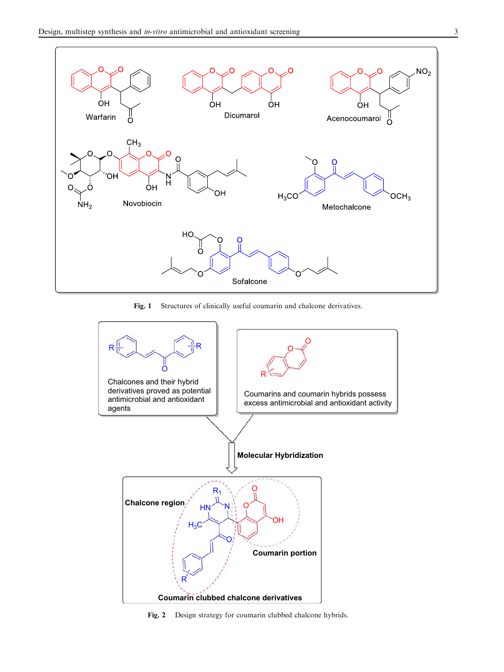

Fig. 1 Structures of clinically useful coumarin and chalcone derivatives.



Fig. 2 Design strategy for coumarin clubbed chalcone hybrids.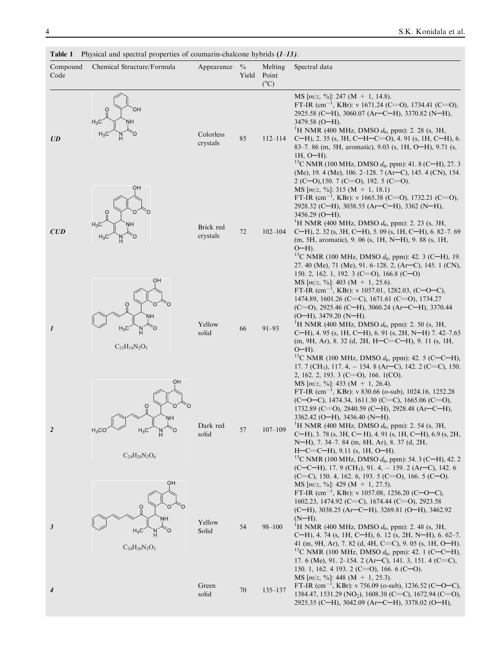| Compound<br>Code | Chemical Structure/Formula                                                                  | Appearance            | $\frac{0}{0}$<br>Yield | Melting<br>Point<br>$(^{\circ}C)$ | Spectral data                                                                                                                                                                                                                                                                                                                                                                                                                                                                                                                                                                                                                                                                  |
|------------------|---------------------------------------------------------------------------------------------|-----------------------|------------------------|-----------------------------------|--------------------------------------------------------------------------------------------------------------------------------------------------------------------------------------------------------------------------------------------------------------------------------------------------------------------------------------------------------------------------------------------------------------------------------------------------------------------------------------------------------------------------------------------------------------------------------------------------------------------------------------------------------------------------------|
| UD               | OН<br>$H_3C$<br>NΗ                                                                          | Colorless<br>crystals | 85                     | $112 - 114$                       | MS $[m/z, \%]$ : 247 (M + 1, 14.8).<br>FT-IR (cm <sup>-1</sup> , KBr): v 1671.24 (C=O), 1734.41 (C=O),<br>2925.58 (C-H), 3060.07 (Ar-C-H), 3370.82 (N-H),<br>$3479.58$ (O-H).<br><sup>1</sup> H NMR (400 MHz, DMSO $d_6$ , ppm): 2. 28 (s, 3H,<br>C-H), 2. 35 (s, 3H, C-H-C=O), 4. 91 (s, 1H, C-H), 6.<br>83–7.86 (m, 5H, aromatic), 9.03 (s, 1H, O–H), 9.71 (s,<br>$1H, O-H$ ).<br><sup>13</sup> C NMR (100 MHz, DMSO $d_6$ , ppm): 41. 8 (C-H), 27. 3<br>(Me), 19. 4 (Me), 106. 2-128. 7 (Ar-C), 145. 4 (CN), 154.<br>$2$ (C-O), 150. 7 (C=O), 192. 5 (C=O).                                                                                                                 |
| CUD              | OH<br>$H_3C$<br>NΗ<br>$H_3C$<br>Ö<br>OH                                                     | Brick red<br>crystals | 72                     | $102 - 104$                       | MS $[m/z, \%]: 315 (M + 1, 18.1)$<br>FT-IR $(cm^{-1}$ , KBr): v 1665.38 (C=O), 1732.21 (C=O),<br>2928.32 (C-H), 3038.55 (Ar-C-H), 3362 (N-H),<br>$3456.29$ (O-H).<br><sup>1</sup> H NMR (400 MHz, DMSO $d_6$ , ppm): 2. 23 (s, 3H,<br>C-H), 2. 32 (s, 3H, C-H), 5. 09 (s, 1H, C-H), 6. 82-7. 69<br>(m, 5H, aromatic), 9. 06 (s, 1H, N-H), 9. 88 (s, 1H,<br>$O-H$ ).<br><sup>13</sup> C NMR (100 MHz, DMSO $d_6$ , ppm): 42. 3 (C-H), 19.<br>27. 40 (Me), 71 (Me), 91. 6–128. 2, (Ar–C), 145. 1 (CN),<br>150. 2, 162. 1, 192. 3 (C=O), 166.8 (C-O)                                                                                                                              |
| $\boldsymbol{l}$ | O<br>NН<br>$H_3C$<br>$C_{23}H_{18}N_2O_5$                                                   | Yellow<br>solid       | 66                     | $91 - 93$                         | MS $[m/z, \%]: 403 (M + 1, 25.6).$<br>FT-IR $(cm^{-1}, KBr):$ v 1057.01, 1282.03, (C-O-C),<br>1474.89, 1601.26 (C=C), 1671.61 (C=O), 1734.27<br>$(C=0)$ , 2925.46 $(C-H)$ , 3060.24 $(Ar-C-H)$ , 3370.44<br>$(O-H)$ , 3479.20 (N-H).<br><sup>1</sup> H NMR (400 MHz, DMSO $d_6$ , ppm): 2. 50 (s, 3H,<br>C-H), 4. 95 (s, 1H, C-H), 6. 91 (s, 2H, N-H) 7. 42-7.65<br>$(m, 9H, Ar), 8.32$ (d, 2H, H-C=C-H), 9.11 (s, 1H,<br>$O-H$ ).<br><sup>13</sup> C NMR (100 MHz, DMSO $d_6$ , ppm): 42. 5 (C–C–H),<br>17. 7 (CH <sub>3</sub> ), 117. 4, -154. 8 (Ar–C), 142. 2 (C=C), 150.<br>2, 162, 2, 193, 3 (C=O), 166, 1(CO).                                                          |
| $\overline{2}$   | ОH<br>Ö<br>Ω<br>NΗ<br>Č٥<br>$H_3C$<br>$H_3CC$<br>$_{\rm H}^{\rm N}$<br>$C_{24}H_{20}N_2O_6$ | Dark red<br>solid     | 57                     | $107 - 109$                       | MS $[m/z, \%]$ : 433 (M + 1, 26.4).<br>FT-IR $(cm^{-1}, KBr): v 830.66$ (o-sub), 1024.16, 1252.28<br>$(C=O-C)$ , 1474.34, 1611.30 $(C=C)$ , 1665.06 $(C=O)$ ,<br>1732.89 (C=O), 2840.59 (C-H), 2928.48 (Ar-C-H),<br>$3362.42$ (O-H), 3436.40 (N-H).<br><sup>1</sup> H NMR (400 MHz, DMSO $d_6$ , ppm): 2. 54 (s, 3H,<br>C-H), 3.78 (s, 3H, C-H), 4.91 (s, 1H, C-H), 6.9 (s, 2H,<br>N-H), 7. 34-7. 84 (m, 8H, Ar), 8. 37 (d, 2H,<br>$H-C=C-H$ , 9.11 (s, 1H, O-H).<br><sup>13</sup> C NMR (100 MHz, DMSO $d_6$ , ppm): 54. 3 (C-H), 42. 2<br>$(C-C-H)$ , 17. 9 (CH <sub>3</sub> ), 91. 4, -159. 2 (Ar-C), 142. 6<br>$(C=C)$ , 150. 4, 162. 6, 193. 5 $(C=O)$ , 166. 5 $(C=O)$ . |
| 3                | OH<br>$\ddot{\mathrm{o}}$<br>NΗ<br>$H_3C$<br>$C_{24}H_{20}N_2O_5$                           | Yellow<br>Solid       | 54                     | $98 - 100$                        | MS $[m/z, %_0]$ : 429 (M + 1, 27.5).<br>FT-IR $\text{(cm}^{-1}$ , KBr): v 1057.08, 1256.20 (C-O-C),<br>1602.23, 1474.92 (C=C), 1674.44 (C=O), 2923.58<br>$(C-H)$ , 3038.25 (Ar-C-H), 3269.81 (O-H), 3462.92<br>$(N-H)$ .<br><sup>1</sup> H NMR (400 MHz, DMSO $d_6$ , ppm): 2. 48 (s, 3H,<br>C-H), 4. 74 (s, 1H, C-H), 6. 12 (s, 2H, N-H), 6. 62–7.<br>41 (m, 9H, Ar), 7. 82 (d, 4H, C=C), 9. 05 (s, 1H, O-H).<br><sup>13</sup> C NMR (100 MHz, DMSO $d_6$ , ppm): 42. 1 (C-C-H),<br>17. 6 (Me), 91. 2–154. 2 (Ar–C), 141. 3, 151. 4 (C=C),<br>150. 1, 162. 4 193. 2 (C=O), 166. 6 (C-O).                                                                                      |
| 4                |                                                                                             | Green<br>solid        | 70                     | $135 - 137$                       | MS $[m/z, \%]$ : 448 (M + 1, 25.3).<br>FT-IR $(cm^{-1}, KBr): v 756.09$ (o-sub), 1236.52 (C-O-C),<br>1384.47, 1531.29 (NO <sub>2</sub> ), 1608.38 (C=C), 1672.94 (C=O),<br>2925.35 (C-H), 3042.09 (Ar-C-H), 3378.02 (O-H),                                                                                                                                                                                                                                                                                                                                                                                                                                                     |

**Table 1** Physical and spectral properties of coumarin-chalcone hybrids  $(1-13)$ .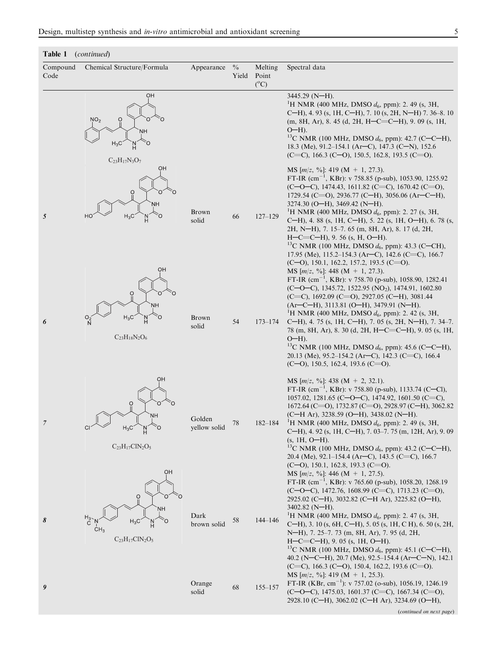### Table 1 (*continued*)

| Compound<br>Code | Chemical Structure/Formula                                                                                          | Appearance             | $\frac{0}{0}$<br>Yield | Melting<br>Point<br>$(^{\circ}C)$ | Spectral data                                                                                                                                                                                                                                                                                                                                                                                                                                                                                                                                                                                                                                                                                                                                                   |
|------------------|---------------------------------------------------------------------------------------------------------------------|------------------------|------------------------|-----------------------------------|-----------------------------------------------------------------------------------------------------------------------------------------------------------------------------------------------------------------------------------------------------------------------------------------------------------------------------------------------------------------------------------------------------------------------------------------------------------------------------------------------------------------------------------------------------------------------------------------------------------------------------------------------------------------------------------------------------------------------------------------------------------------|
|                  | OH<br>NO <sub>2</sub><br>$\overline{O}$<br>NΗ<br>$H_3C$<br>Ó<br>$C_{23}H_{17}N_3O_7$                                |                        |                        |                                   | $3445.29$ (N-H).<br><sup>1</sup> H NMR (400 MHz, DMSO $d_6$ , ppm): 2. 49 (s, 3H,<br>C-H), 4. 93 (s, 1H, C-H), 7. 10 (s, 2H, N-H) 7. 36–8. 10<br>$(m, 8H, Ar), 8.45$ (d, 2H, H–C=C–H), 9.09 (s, 1H,<br>$O-H$ ).<br><sup>13</sup> C NMR (100 MHz, DMSO $d_6$ , ppm): 42.7 (C-C-H),<br>18.3 (Me), 91.2-154.1 (Ar-C), 147.3 (C-N), 152.6<br>(C=C), 166.3 (C-O), 150.5, 162.8, 193.5 (C=O).                                                                                                                                                                                                                                                                                                                                                                         |
| 5                | OН<br>$\frac{0}{1}$<br>NΗ<br>HC<br>$H_3C$<br>OH                                                                     | Brown<br>solid         | 66                     | $127 - 129$                       | MS [ $m/z$ , %]: 419 (M + 1, 27.3).<br>FT-IR $\text{(cm}^{-1}, \text{KBr})$ : v 758.85 (p-sub), 1053.90, 1255.92<br>$(C=O-C)$ , 1474.43, 1611.82 $(C=C)$ , 1670.42 $(C=O)$ ,<br>1729.54 (C=O), 2936.77 (C-H), 3056.06 (Ar-C-H),<br>3274.30 (O-H), 3469.42 (N-H).<br><sup>1</sup> H NMR (400 MHz, DMSO $d_6$ , ppm): 2. 27 (s, 3H,<br>C-H), 4.88 (s, 1H, C-H), 5.22 (s, 1H, O-H), 6.78 (s,<br>2H, N-H), 7. 15-7. 65 (m, 8H, Ar), 8. 17 (d, 2H,<br>$H-C=C-H$ ), 9. 56 (s, H, O-H).<br><sup>13</sup> C NMR (100 MHz, DMSO $d_6$ , ppm): 43.3 (C-CH),<br>17.95 (Me), 115.2–154.3 (Ar–C), 142.6 (C=C), 166.7<br>$(C=0)$ , 150.1, 162.2, 157.2, 193.5 $(C=0)$ .<br>MS $[m/z, \%]$ : 448 (M + 1, 27.3).<br>FT-IR $(cm^{-1}, KBr): v 758.70 (p-sub), 1058.90, 1282.41)$ |
| 6                | $\frac{0}{1}$<br>NН<br>$H_3C$<br>Ő<br>$C_{23}H_{18}N_2O_6$                                                          | Brown<br>solid         | 54                     | $173 - 174$                       | $(C-O-C)$ , 1345.72, 1522.95 (NO <sub>2</sub> ), 1474.91, 1602.80<br>(C=C), 1692.09 (C=O), 2927.05 (C-H), 3081.44<br>$(Ar-C-H)$ , 3113.81 (O-H), 3479.91 (N-H).<br><sup>1</sup> H NMR (400 MHz, DMSO $d_6$ , ppm): 2. 42 (s, 3H,<br>C-H), 4. 75 (s, 1H, C-H), 7. 05 (s, 2H, N-H), 7. 34–7.<br>78 (m, 8H, Ar), 8. 30 (d, 2H, H–C=C–H), 9. 05 (s, 1H,<br>$O-H$ ).<br><sup>13</sup> C NMR (100 MHz, DMSO $d_6$ , ppm): 45.6 (C-C-H),<br>20.13 (Me), 95.2–154.2 (Ar–C), 142.3 (C=C), 166.4<br>$(C=0)$ , 150.5, 162.4, 193.6 $(C=0)$ .                                                                                                                                                                                                                               |
| 7                | OН<br>$\overline{a}$<br>Ο<br>NΗ<br>CI<br>$H_3C$<br>O<br>$C_{23}H_{17}C1N_2O_5$                                      | Golden<br>yellow solid | 78                     | $182 - 184$                       | MS $[m/z, \%]$ : 438 (M + 2, 32.1).<br>FT-IR (cm <sup>-1</sup> , KBr): v 758.80 (p-sub), 1133.74 (C-Cl),<br>1057.02, 1281.65 (C-O-C), 1474.92, 1601.50 (C=C),<br>1672.64 (C=O), 1732.87 (C=O), 2928.97 (C-H), 3062.82<br>(C-H Ar), 3238.59 (O-H), 3438.02 (N-H).<br><sup>1</sup> H NMR (400 MHz, DMSO $d_6$ , ppm): 2. 49 (s, 3H,<br>C-H), 4. 92 (s, 1H, C-H), 7. 03-7. 75 (m, 12H, Ar), 9. 09<br>$(s, 1H, 0-H).$<br><sup>13</sup> C NMR (100 MHz, DMSO $d_6$ , ppm): 43.2 (C–C–H),<br>20.4 (Me), 92.1–154.4 (Ar–C), 143.5 (C=C), 166.7<br>$(C=0)$ , 150.1, 162.8, 193.3 $(C=0)$ .                                                                                                                                                                              |
| 8                | OH<br>O<br>NΗ<br>$H_3$ <sub>C</sub><br>$H_3C$<br>CH <sub>3</sub><br>$\rm{C}_{23}\rm{H}_{17}\rm{C}l\rm{N}_2\rm{O}_5$ | Dark<br>brown solid    | 58                     | $144 - 146$                       | MS $[m/z, \%]$ : 446 (M + 1, 27.5).<br>FT-IR (cm <sup>-1</sup> , KBr): v 765.60 (p-sub), 1058.20, 1268.19<br>$(C-O-C)$ , 1472.76, 1608.99 $(C=C)$ , 1713.23 $(C=O)$ ,<br>2925.02 (C-H), 3032.82 (C-H Ar), 3225.82 (O-H),<br>$3402.82$ (N-H).<br><sup>1</sup> H NMR (400 MHz, DMSO $d_6$ , ppm): 2. 47 (s, 3H,<br>C-H), 3. 10 (s, 6H, C-H), 5. 05 (s, 1H, C H), 6. 50 (s, 2H,<br>N-H), 7. 25-7. 73 (m, 8H, Ar), 7. 95 (d, 2H,<br>$H-C=C-H$ , 9. 05 (s, 1H, O-H).<br><sup>13</sup> C NMR (100 MHz, DMSO $d_6$ , ppm): 45.1 (C-C-H),<br>40.2 (N-C-H), 20.7 (Me), 92.5-154.4 (Ar-C-N), 142.1<br>(C=C), 166.3 (C-O), 150.4, 162.2, 193.6 (C=O).                                                                                                                      |
| 9                |                                                                                                                     | Orange<br>solid        | 68                     | $155 - 157$                       | MS $[m/z, \%]$ : 419 (M + 1, 25.3).<br>FT-IR (KBr, cm <sup>-1</sup> ): v 757.02 (o-sub), 1056.19, 1246.19<br>$(C=O-C)$ , 1475.03, 1601.37 $(C=C)$ , 1667.34 $(C=O)$ ,<br>2928.10 (C-H), 3062.02 (C-H Ar), 3234.69 (O-H),<br>(continued on next page)                                                                                                                                                                                                                                                                                                                                                                                                                                                                                                            |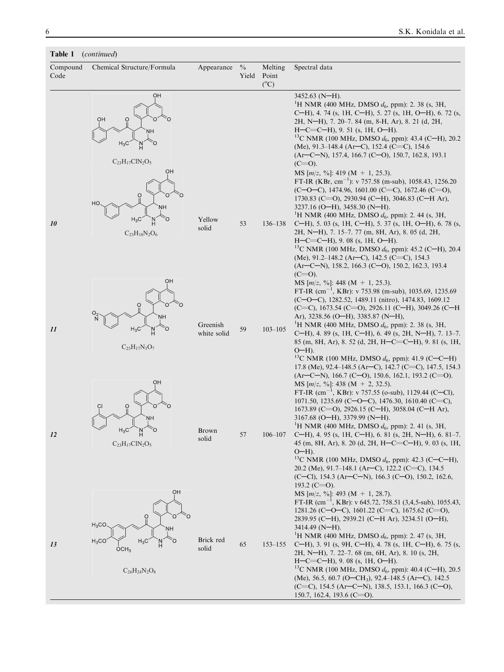## Table 1 (*continued*)

| Compound<br>Code | Chemical Structure/Formula                                                                                  | Appearance              | $\frac{0}{0}$<br>Yield | Melting<br>Point<br>$(^{\circ}C)$ | Spectral data                                                                                                                                                                                                                                                                                                                                                                                                                                                                                                                                                                                                                                                                                        |
|------------------|-------------------------------------------------------------------------------------------------------------|-------------------------|------------------------|-----------------------------------|------------------------------------------------------------------------------------------------------------------------------------------------------------------------------------------------------------------------------------------------------------------------------------------------------------------------------------------------------------------------------------------------------------------------------------------------------------------------------------------------------------------------------------------------------------------------------------------------------------------------------------------------------------------------------------------------------|
|                  | OH<br>OH<br>Ö<br>NΗ<br>$H_3C$<br>$C_{23}H_{17}C1N_2O_5$<br>OН                                               |                         |                        |                                   | $3452.63$ (N-H).<br><sup>1</sup> H NMR (400 MHz, DMSO $d_6$ , ppm): 2. 38 (s, 3H,<br>C-H), 4. 74 (s, 1H, C-H), 5. 27 (s, 1H, O-H), 6. 72 (s,<br>2H, N-H), 7. 20–7. 84 (m, 8-H, Ar), 8. 21 (d, 2H,<br>$H-C=C-H$ , 9. 51 (s, 1H, O-H).<br><sup>13</sup> C NMR (100 MHz, DMSO $d_6$ , ppm): 43.4 (C-H), 20.2<br>(Me), 91.3-148.4 (Ar-C), 152.4 (C=C), 154.6<br>$(Ar-C-N)$ , 157.4, 166.7 (C-O), 150.7, 162.8, 193.1<br>$(C=0)$ .<br>MS $[m/z, \%]: 419 (M + 1, 25.3).$                                                                                                                                                                                                                                  |
| 10               | O<br>HO<br>ΝН<br>$H_3C$<br>Ö<br>$C_{23}H_{18}N_2O_6$                                                        | Yellow<br>solid         | 53                     | $136 - 138$                       | FT-IR (KBr, cm <sup>-1</sup> ): v 757.58 (m-sub), 1058.43, 1256.20<br>$(C=O-C)$ , 1474.96, 1601.00 $(C=C)$ , 1672.46 $(C=O)$ ,<br>1730.83 (C=O), 2930.94 (C-H), 3046.83 (C-H Ar),<br>$3237.16$ (O-H), 3458.30 (N-H).<br><sup>1</sup> H NMR (400 MHz, DMSO $d_6$ , ppm): 2. 44 (s, 3H,<br>C-H), 5. 03 (s, 1H, C-H), 5. 37 (s, 1H, O-H), 6. 78 (s,<br>2H, N-H), 7. 15-7. 77 (m, 8H, Ar), 8. 05 (d, 2H,<br>$H-C=C-H$ , 9.08 (s, 1H, O-H).<br><sup>13</sup> C NMR (100 MHz, DMSO $d_6$ , ppm): 45.2 (C-H), 20.4<br>(Me), $91.2-148.2$ (Ar–C), 142.5 (C=C), 154.3<br>$(Ar-C-N)$ , 158.2, 166.3 (C-O), 150.2, 162.3, 193.4                                                                                 |
| 11               | OH<br>Ò<br>O<br>O<br>O <sub>2</sub><br>NΗ<br>$H_3C$<br>Ö<br>$C_{23}H_{17}N_3O_7$                            | Greenish<br>white solid | 59                     | $103 - 105$                       | $(C=0)$ .<br>MS $[m/z, \%]$ : 448 (M + 1, 25.3).<br>FT-IR $\text{(cm}^{-1}$ , KBr): v 753.98 (m-sub), 1035.69, 1235.69<br>(C-O-C), 1282.52, 1489.11 (nitro), 1474.83, 1609.12<br>(C=C), 1673.54 (C=O), 2926.11 (C-H), 3049.26 (C-H)<br>Ar), 3238.56 (O-H), 3385.87 (N-H),<br><sup>1</sup> H NMR (400 MHz, DMSO $d_6$ , ppm): 2. 38 (s, 3H,<br>C-H), 4.89 (s, 1H, C-H), 6.49 (s, 2H, N-H), 7.13-7.<br>85 (m, 8H, Ar), 8. 52 (d, 2H, H-C=C-H), 9. 81 (s, 1H,<br>$O-H$ ).<br><sup>13</sup> C NMR (100 MHz, DMSO $d_6$ , ppm): 41.9 (C–C–H)<br>17.8 (Me), 92.4–148.5 (Ar–C), 142.7 (C=C), 147.5, 154.3                                                                                                   |
| 12               | OH<br>O<br>NΗ<br>Ö<br>$H_3C$<br>$C_{23}H_{17}C1N_2O_5$                                                      | Brown<br>solid          | 57                     | $106 - 107$                       | $(Ar-C-N)$ , 166.7 (C-O), 150.6, 162.1, 193.2 (C=O).<br>MS $[m/z, \%]$ : 438 (M + 2, 32.5).<br>FT-IR (cm <sup>-1</sup> , KBr): v 757.55 (o-sub), 1129.44 (C-Cl),<br>1071.50, 1235.69 (C-O-C), 1476.30, 1610.40 (C=C),<br>1673.89 (C=O), 2926.15 (C-H), 3058.04 (C-H Ar),<br>3167.68 (O-H), 3379.99 (N-H).<br><sup>1</sup> H NMR (400 MHz, DMSO $d_6$ , ppm): 2. 41 (s, 3H,<br>$C-H$ ), 4. 95 (s, 1H, $C-H$ ), 6. 81 (s, 2H, N-H), 6. 81–7.<br>45 (m, 8H, Ar), 8. 20 (d, 2H, $H-C=C-H$ ), 9. 03 (s, 1H,<br>$O-H$ ).<br><sup>13</sup> C NMR (100 MHz, DMSO $d_6$ , ppm): 42.3 (C-C-H),<br>20.2 (Me), 91.7-148.1 (Ar-C), 122.2 (C=C), 134.5<br>(C-Cl), 154.3 (Ar-C-N), 166.3 (C-O), 150.2, 162.6,       |
| 13               | OH<br>$\circ$<br>O<br>$H_3CO$<br>NΗ<br>$H_3C$<br>Ò<br>$H_3CO$<br>$\overline{O}CH_3$<br>$C_{26}H_{24}N_2O_8$ | Brick red<br>solid      | 65                     | $153 - 155$                       | 193.2 (C=O).<br>MS $[m/z, %_0]$ : 493 (M + 1, 28.7).<br>FT-IR (cm <sup>-1</sup> , KBr): v 645.72, 758.51 (3,4,5-sub), 1055.43,<br>1281.26 (C-O-C), 1601.22 (C=C), 1675.62 (C=O),<br>2839.95 (C-H), 2939.21 (C-H Ar), 3234.51 (O-H),<br>$3414.49$ (N-H).<br><sup>1</sup> H NMR (400 MHz, DMSO $d_6$ , ppm): 2. 47 (s, 3H,<br>C-H), 3. 91 (s, 9H, C-H), 4. 78 (s, 1H, C-H), 6. 75 (s,<br>2H, N-H), 7. 22–7. 68 (m, 6H, Ar), 8. 10 (s, 2H,<br>$H-C=C-H$ , 9.08 (s, 1H, O-H).<br><sup>13</sup> C NMR (100 MHz, DMSO $d_6$ , ppm): 40.4 (C-H), 20.5<br>(Me), 56.5, 60.7 (O–CH <sub>3</sub> ), 92.4–148.5 (Ar–C), 142.5<br>(C=C), 154.5 (Ar–C–N), 138.5, 153.1, 166.3 (C–O),<br>150.7, 162.4, 193.6 (C=O). |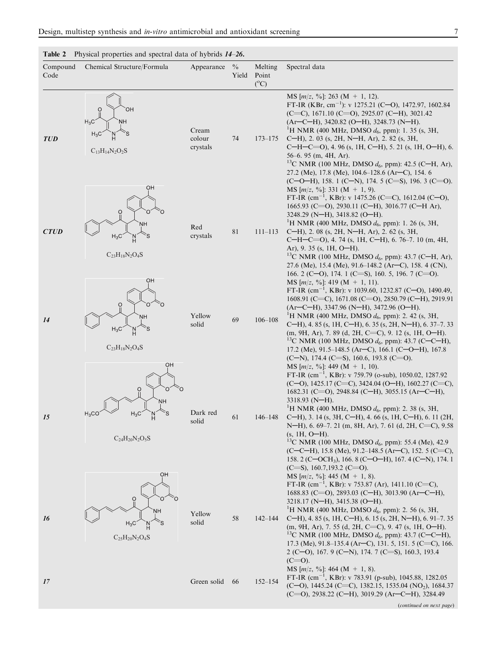|                  | Table 2 Physical properties and spectral data of hybrids 14–26. |                             |                        |                                   |                                                                                                                                                                                                                                                                                                                                                                                                                                                                                                                                                                                                                                                                                 |  |  |  |  |
|------------------|-----------------------------------------------------------------|-----------------------------|------------------------|-----------------------------------|---------------------------------------------------------------------------------------------------------------------------------------------------------------------------------------------------------------------------------------------------------------------------------------------------------------------------------------------------------------------------------------------------------------------------------------------------------------------------------------------------------------------------------------------------------------------------------------------------------------------------------------------------------------------------------|--|--|--|--|
| Compound<br>Code | Chemical Structure/Formula                                      | Appearance                  | $\frac{0}{0}$<br>Yield | Melting<br>Point<br>$(^{\circ}C)$ | Spectral data                                                                                                                                                                                                                                                                                                                                                                                                                                                                                                                                                                                                                                                                   |  |  |  |  |
| <b>TUD</b>       | O<br>OН<br>$H_3C'$<br>NН<br>$C_{13}H_{14}N_2O_2S$               | Cream<br>colour<br>crystals | 74                     | $173 - 175$                       | MS $[m/z, \%]: 263 (M + 1, 12).$<br>FT-IR (KBr, cm <sup>-1</sup> ): v 1275.21 (C-O), 1472.97, 1602.84<br>(C=C), 1671.10 (C=O), 2925.07 (C-H), 3021.42<br>$(Ar-C-H)$ , 3420.82 (O-H), 3248.73 (N-H).<br><sup>1</sup> H NMR (400 MHz, DMSO $d_6$ , ppm): 1. 35 (s, 3H,<br>C-H), 2. 03 (s, 2H, N-H, Ar), 2. 82 (s, 3H,<br>$C-H-C=O$ , 4. 96 (s, 1H, C-H), 5. 21 (s, 1H, O-H), 6.<br>$56-6.95$ (m, 4H, Ar).<br><sup>13</sup> C NMR (100 MHz, DMSO $d_6$ , ppm): 42.5 (C–H, Ar),<br>27.2 (Me), 17.8 (Me), 104.6-128.6 (Ar-C), 154. 6<br>$(C-O-H)$ , 158. 1 $(C-N)$ , 174. 5 $(C=S)$ , 196. 3 $(C=O)$ .                                                                               |  |  |  |  |
| <b>CTUD</b>      | OН<br>$\Omega$<br>NΗ<br>$H_3C$<br>$C_{23}H_{18}N_2O_4S$         | Red<br>crystals             | 81                     | $111 - 113$                       | MS $[m/z, %0]$ : 331 (M + 1, 9).<br>FT-IR $\text{(cm}^{-1}$ , KBr): v 1475.26 (C=C), 1612.04 (C-O),<br>1665.93 (C=O), 2930.11 (C-H), 3016.77 (C-H Ar),<br>3248.29 (N-H), 3418.82 (O-H).<br><sup>1</sup> H NMR (400 MHz, DMSO $d_6$ , ppm): 1. 26 (s, 3H,<br>C-H), 2. 08 (s, 2H, N-H, Ar), 2. 62 (s, 3H,<br>C-H-C=O), 4. 74 (s, 1H, C-H), 6. 76-7. 10 (m, 4H,<br>Ar), 9. 35 (s, 1H, $O-H$ ).<br><sup>13</sup> C NMR (100 MHz, DMSO $d_6$ , ppm): 43.7 (C-H, Ar),<br>27.6 (Me), 15.4 (Me), 91.6–148.2 (Ar–C), 158. 4 (CN),<br>166. 2 (C-O), 174. 1 (C=S), 160. 5, 196. 7 (C=O).                                                                                                   |  |  |  |  |
| 14               | OН<br>O<br>NΗ<br>`S<br>$H_3C$<br>$C_{23}H_{18}N_2O_4S$          | Yellow<br>solid             | 69                     | $106 - 108$                       | MS $[m/z, %]$ : 419 (M + 1, 11).<br>FT-IR (cm <sup>-1</sup> , KBr): v 1039.60, 1232.87 (C-O), 1490.49,<br>1608.91 (C=C), 1671.08 (C=O), 2850.79 (C-H), 2919.91<br>(Ar-C-H), 3347.96 (N-H), 3472.96 (O-H).<br><sup>1</sup> H NMR (400 MHz, DMSO $d_6$ , ppm): 2. 42 (s, 3H,<br>C-H), 4.85 (s, 1H, C-H), 6.35 (s, 2H, N-H), 6.37–7.33<br>(m, 9H, Ar), 7.89 (d, 2H, C=C), 9.12 (s, 1H, O-H).<br><sup>13</sup> C NMR (100 MHz, DMSO $d_6$ , ppm): 43.7 (C–C–H),<br>17.2 (Me), 91.5–148.5 (Ar–C), 166.1 (C–O–H), 167.8<br>$(C-N)$ , 174.4 $(C=$ S), 160.6, 193.8 $(C=$ O).                                                                                                           |  |  |  |  |
| 15               | OH<br>O<br>NН<br>$H_3CC$<br>$H_3C$<br>$C_{24}H_{20}N_2O_5S$     | Dark red<br>solid           | 61                     | $146 - 148$                       | MS $[m/z, \%]$ : 449 (M + 1, 10).<br>FT-IR $(cm^{-1}, KBr): v 759.79$ (o-sub), 1050.02, 1287.92<br>(C-O), 1425.17 (C=C), 3424.04 (O-H), 1602.27 (C=C),<br>1682.31 (C=O), 2948.84 (C-H), 3055.15 (Ar-C-H),<br>3318.93 (N-H).<br><sup>1</sup> H NMR (400 MHz, DMSO $d_6$ , ppm): 2. 38 (s, 3H,<br>C-H), 3. 14 (s, 3H, C-H), 4. 66 (s, 1H, C-H), 6. 11 (2H,<br>N-H), 6. 69-7. 21 (m, 8H, Ar), 7. 61 (d, 2H, C=C), 9.58<br>$(s, 1H, 0-H).$<br><sup>13</sup> C NMR (100 MHz, DMSO $d_6$ , ppm): 55.4 (Me), 42.9<br>$(C-C-H)$ , 15.8 (Me), 91.2-148.5 (Ar-C), 152. 5 (C=C),<br>158. 2 (C-OCH <sub>3</sub> ), 166. 8 (C-O-H), 167. 4 (C-N), 174. 1<br>$(C=$ S), 160.7, 193.2 $(C=$ O). |  |  |  |  |
| 16               | OH<br>NΗ<br>$H_3C$<br>$C_{25}H_{20}N_{2}O_{4}S$                 | Yellow<br>solid             | 58                     | $142 - 144$                       | MS $[m/z, \%]: 445 (M + 1, 8).$<br>FT-IR $(cm^{-1}, KBr): v 753.87 (Ar), 1411.10 (C=C),$<br>1688.83 (C=O), 2893.03 (C-H), 3013.90 (Ar-C-H),<br>3218.17 (N-H), 3415.38 (O-H).<br><sup>1</sup> H NMR (400 MHz, DMSO $d_6$ , ppm): 2. 56 (s, 3H,<br>C-H), 4.85 (s, 1H, C-H), 6.15 (s, 2H, N-H), 6.91-7.35<br>$(m, 9H, Ar), 7.55$ (d, 2H, C=C), 9.47 (s, 1H, O-H).<br><sup>13</sup> C NMR (100 MHz, DMSO $d_6$ , ppm): 43.7 (C-C-H),<br>17.3 (Me), $91.8-135.4$ (Ar–C), 131. 5, 151. 5 (C=C), 166.<br>2 (C-O), 167. 9 (C-N), 174. 7 (C=S), 160.3, 193.4<br>$(C=0)$ .                                                                                                                |  |  |  |  |
| 17               |                                                                 | Green solid                 | 66                     | $152 - 154$                       | MS [ $m/z$ , %]: 464 (M + 1, 8).<br>FT-IR $(cm^{-1}, KBr): v 783.91 (p-sub), 1045.88, 1282.05)$<br>(C-O), 1445.24 (C=C), 1382.15, 1535.04 (NO <sub>2</sub> ), 1684.37<br>(C=O), 2938.22 (C-H), 3019.29 (Ar-C-H), 3284.49<br>(continued on next page)                                                                                                                                                                                                                                                                                                                                                                                                                            |  |  |  |  |

| Design, multistep synthesis and in-vitro antimicrobial and antioxidant screening |  |
|----------------------------------------------------------------------------------|--|
|                                                                                  |  |

(*continued on next page*)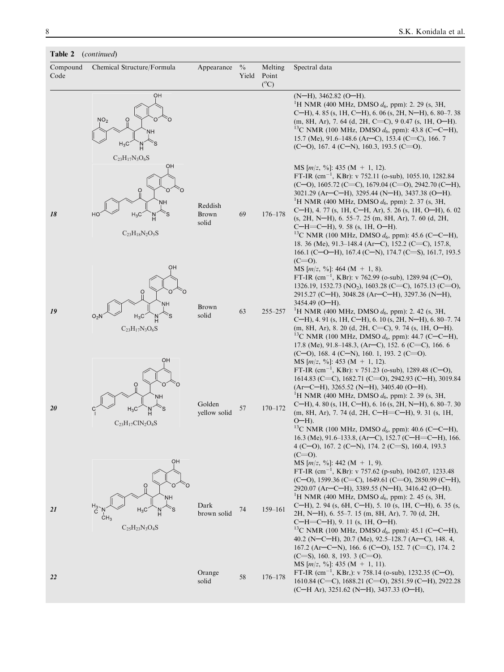| Compound<br>Code | $\mathcal{L}$<br>Chemical Structure/Formula                                        | Appearance                | $\frac{0}{0}$<br>Yield | Melting<br>Point<br>$(^{\circ}C)$ | Spectral data                                                                                                                                                                                                                                                                                                                                                                                                                                                                                                                                                                                                                                              |
|------------------|------------------------------------------------------------------------------------|---------------------------|------------------------|-----------------------------------|------------------------------------------------------------------------------------------------------------------------------------------------------------------------------------------------------------------------------------------------------------------------------------------------------------------------------------------------------------------------------------------------------------------------------------------------------------------------------------------------------------------------------------------------------------------------------------------------------------------------------------------------------------|
|                  | OH<br>NO <sub>2</sub><br>O<br><b>NH</b><br>์S<br>$H_3C$<br>$C_{23}H_{17}N_3O_6S$   |                           |                        |                                   | $(N-H)$ , 3462.82 (O-H).<br><sup>1</sup> H NMR (400 MHz, DMSO $d_6$ , ppm): 2. 29 (s, 3H,<br>C-H), 4.85 (s, 1H, C-H), 6.06 (s, 2H, N-H), 6.80-7.38<br>$(m, 8H, Ar)$ , 7.64 (d, 2H, C=C), 9 0.47 (s, 1H, O-H).<br><sup>13</sup> C NMR (100 MHz, DMSO $d_6$ , ppm): 43.8 (C–C–H),<br>15.7 (Me), 91.6–148.6 (Ar–C), 153.4 (C=C), 166.7<br>$(C=0)$ , 167. 4 $(C=N)$ , 160.3, 193.5 $(C=0)$ .                                                                                                                                                                                                                                                                   |
| 18               | OH<br>Ó<br>Ö<br>NΗ<br>HO<br>$H_3C$<br>$C_{23}H_{18}N_2O_5S$                        | Reddish<br>Brown<br>solid | 69                     | $176 - 178$                       | MS $[m/z, \%]: 435 (M + 1, 12).$<br>FT-IR $(cm^{-1}, KBr): v 752.11$ (o-sub), 1055.10, 1282.84<br>(C-O), 1605.72 (C=C), 1679.04 (C=O), 2942.70 (C-H),<br>$3021.29$ (Ar–C–H), 3295.44 (N–H), 3437.38 (O–H).<br><sup>1</sup> H NMR (400 MHz, DMSO $d_6$ , ppm): 2. 37 (s, 3H,<br>C-H), 4. 77 (s, 1H, C-H, Ar), 5. 26 (s, 1H, O-H), 6. 02<br>$(s, 2H, N-H)$ , 6. 55–7. 25 (m, 8H, Ar), 7. 60 (d, 2H,<br>$C-H=C-H$ , 9. 58 (s, 1H, O-H).<br><sup>13</sup> C NMR (100 MHz, DMSO $d_6$ , ppm): 45.6 (C-C-H),<br>18. 36 (Me), 91.3–148.4 (Ar–C), 152.2 (C=C), 157.8,<br>166.1 (C-O-H), 167.4 (C-N), 174.7 (C=S), 161.7, 193.5                                     |
| 19               | OН<br>O<br>$\overline{O}$<br>NΗ<br>$O_2N$<br>$H_3C$<br>์S<br>$C_{23}H_{17}N_3O_6S$ | Brown<br>solid            | 63                     | $255 - 257$                       | $(C=0)$ .<br>MS $[m/z, \%]: 464 (M + 1, 8).$<br>FT-IR $(cm^{-1}$ , KBr): v 762.99 (o-sub), 1289.94 (C-O),<br>1326.19, 1532.73 (NO <sub>2</sub> ), 1603.28 (C=C), 1675.13 (C=O),<br>2915.27 (C-H), 3048.28 (Ar-C-H), 3297.36 (N-H),<br>$3454.49$ (O-H).<br><sup>1</sup> H NMR (400 MHz, DMSO $d_6$ , ppm): 2. 42 (s, 3H,<br>C-H), 4. 91 (s, 1H, C-H), 6. 10 (s, 2H, N-H), 6. 80–7. 74<br>$(m, 8H, Ar), 8.20$ (d, 2H, C=C), 9.74 (s, 1H, O-H).<br><sup>13</sup> C NMR (100 MHz, DMSO $d_6$ , ppm): 44.7 (C–C–H),<br>17.8 (Me), 91.8–148.3, (Ar–C), 152. 6 (C=C), 166. 6                                                                                      |
| 20               | OH<br>O<br>NΗ<br>Ś.<br>$H_3C$<br>$C_{23}H_{17}C1N_2O_4S$                           | Golden<br>yellow solid    | 57                     | $170 - 172$                       | $(C=0)$ , 168. 4 $(C=N)$ , 160. 1, 193. 2 $(C=0)$ .<br>MS $[m/z, %]$ : 453 (M + 1, 12).<br>FT-IR $(cm^{-1}, KBr): v 751.23$ (o-sub), 1289.48 (C-O),<br>1614.83 (C=C), 1682.71 (C=O), 2942.93 (C-H), 3019.84<br>$(Ar-C-H)$ , 3265.52 (N-H), 3405.40 (O-H).<br><sup>1</sup> H NMR (400 MHz, DMSO $d_6$ , ppm): 2. 39 (s, 3H,<br>C-H), 4.80 (s, 1H, C-H), 6.16 (s, 2H, N-H), 6.80–7.30<br>$(m, 8H, Ar), 7.74$ (d, 2H, C-H=C-H), 9.31 (s, 1H,<br>$O-H$ ).<br><sup>13</sup> C NMR (100 MHz, DMSO $d_6$ , ppm): 40.6 (C–C–H),<br>16.3 (Me), 91.6-133.8, (Ar-C), 152.7 (C-H=C-H), 166.<br>4 (C-O), 167. 2 (C-N), 174. 2 (C=S), 160.4, 193.3<br>$(C=0)$ .          |
| 21               | OH<br>$\Omega$<br>NН<br>$H_3C$<br>CH <sub>3</sub><br>$C_{25}H_{23}N_3O_4S$         | Dark<br>brown solid       | 74                     | $159 - 161$                       | MS $[m/z, \%]: 442 (M + 1, 9).$<br>FT-IR $(cm^{-1}, KBr): v 757.62$ (p-sub), 1042.07, 1233.48<br>$(C=0)$ , 1599.36 $(C=C)$ , 1649.61 $(C=O)$ , 2850.99 $(C=H)$ ,<br>2920.07 (Ar-C-H), 3389.55 (N-H), 3416.42 (O-H).<br><sup>1</sup> H NMR (400 MHz, DMSO $d_6$ , ppm): 2. 45 (s, 3H,<br>C-H), 2. 94 (s, 6H, C-H), 5. 10 (s, 1H, C-H), 6. 35 (s,<br>2H, N-H), 6. 55-7. 15 (m, 8H, Ar), 7. 70 (d, 2H,<br>$C-H=C-H$ , 9. 11 (s, 1H, O-H).<br><sup>13</sup> C NMR (100 MHz, DMSO $d_6$ , ppm): 45.1 (C-C-H),<br>40.2 (N-C-H), 20.7 (Me), 92.5-128.7 (Ar-C), 148.4,<br>167.2 (Ar-C-N), 166. 6 (C-O), 152. 7 (C=C), 174. 2<br>$(C=$ S), 160. 8, 193. 3 $(C=$ O). |
| 22               |                                                                                    | Orange<br>solid           | 58                     | $176 - 178$                       | MS $[m/z, \%]: 435 (M + 1, 11).$<br>FT-IR $(cm^{-1}$ , KBr,): v 758.14 (o-sub), 1232.35 (C-O),<br>1610.84 (C=C), 1688.21 (C=O), 2851.59 (C-H), 2922.28<br>(C-H Ar), 3251.62 (N-H), 3437.33 (O-H),                                                                                                                                                                                                                                                                                                                                                                                                                                                          |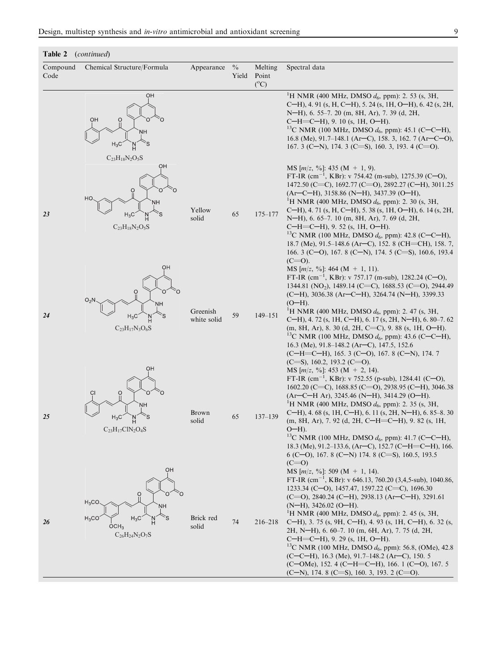### Table 2 (*continued*)

| Compound<br>Code | Chemical Structure/Formula                                                                             | Appearance              | $\frac{0}{0}$<br>Yield | Melting<br>Point<br>$(^{\circ}C)$ | Spectral data                                                                                                                                                                                                                                                                                                                                                                                                                                                                                                                                                                                                                                                                                                   |
|------------------|--------------------------------------------------------------------------------------------------------|-------------------------|------------------------|-----------------------------------|-----------------------------------------------------------------------------------------------------------------------------------------------------------------------------------------------------------------------------------------------------------------------------------------------------------------------------------------------------------------------------------------------------------------------------------------------------------------------------------------------------------------------------------------------------------------------------------------------------------------------------------------------------------------------------------------------------------------|
|                  | OН<br>$\frac{0}{1}$<br>OН<br>ŅН<br>`s<br>$H_3C$                                                        |                         |                        |                                   | <sup>1</sup> H NMR (400 MHz, DMSO $d_6$ , ppm): 2. 53 (s, 3H,<br>C-H), 4. 91 (s, H, C-H), 5. 24 (s, 1H, O-H), 6. 42 (s, 2H,<br>N-H), 6. 55-7. 20 (m, 8H, Ar), 7. 39 (d, 2H,<br>$C-H=C-H$ , 9. 10 (s, 1H, O-H).<br><sup>13</sup> C NMR (100 MHz, DMSO $d_6$ , ppm): 45.1 (C-C-H),<br>16.8 (Me), 91.7–148.1 (Ar–C), 158. 3, 162. 7 (Ar–C–O),<br>167. 3 (C-N), 174. 3 (C=S), 160. 3, 193. 4 (C=O).                                                                                                                                                                                                                                                                                                                 |
| 23               | $C_{23}H_{18}N_2O_5S$<br>OH<br>O<br>HO<br>NΗ<br>$H_3C$<br>`S<br>$C_{23}H_{18}N_2O_5S$                  | Yellow<br>solid         | 65                     | $175 - 177$                       | MS $[m/z, \%]: 435 (M + 1, 9).$<br>FT-IR $(cm^{-1}, KBr): v 754.42$ (m-sub), 1275.39 (C-O),<br>1472.50 (C=C), 1692.77 (C=O), 2892.27 (C-H), 3011.25<br>$(Ar-C-H)$ , 3158.86 (N-H), 3437.39 (O-H),<br><sup>1</sup> H NMR (400 MHz, DMSO $d_6$ , ppm): 2. 30 (s, 3H,<br>C-H), 4. 71 (s, H, C-H), 5. 38 (s, 1H, O-H), 6. 14 (s, 2H,<br>N-H), 6. 65-7. 10 (m, 8H, Ar), 7. 69 (d, 2H,<br>$C-H=C-H$ , 9. 52 (s, 1H, O-H).<br><sup>13</sup> C NMR (100 MHz, DMSO $d_6$ , ppm): 42.8 (C-C-H),<br>18.7 (Me), 91.5-148.6 (Ar–C), 152. 8 (CH=CH), 158. 7,<br>166. 3 (C-O), 167. 8 (C-N), 174. 5 (C=S), 160.6, 193.4<br>$(C=0)$ .                                                                                           |
| 24               | OH<br>O<br>$O_2N$<br>NΗ<br>$H_3C$<br>$C_{23}H_{17}N_3O_6S$                                             | Greenish<br>white solid | 59                     | $149 - 151$                       | MS $[m/z, %]$ : 464 (M + 1, 11).<br>FT-IR $(cm^{-1}, KBr): v 757.17 (m-sub), 1282.24 (C-O),$<br>1344.81 (NO <sub>2</sub> ), 1489.14 (C=C), 1688.53 (C=O), 2944.49<br>(C-H), 3036.38 (Ar-C-H), 3264.74 (N-H), 3399.33<br>$(O-H)$ .<br><sup>1</sup> H NMR (400 MHz, DMSO $d_6$ , ppm): 2. 47 (s, 3H,<br>C-H), 4. 72 (s, 1H, C-H), 6. 17 (s, 2H, N-H), 6. 80-7. 62<br>$(m, 8H, Ar), 8.30$ (d, 2H, C=C), 9.88 (s, 1H, O-H).<br><sup>13</sup> C NMR (100 MHz, DMSO $d_6$ , ppm): 43.6 (C-C-H),<br>16.3 (Me), $91.8-148.2$ (Ar–C), 147.5, 152.6<br>$(C-H=C-H)$ , 165. 3 $(C-O)$ , 167. 8 $(C-N)$ , 174. 7<br>$(C=$ S), 160.2, 193.2 $(C=$ O).                                                                         |
| 25               | OН<br>$\overline{O}$<br>NΗ<br>$H_3C$<br>`S<br>$C_{23}H_{17}CIN_2O_4S$                                  | Brown<br>solid          | 65                     | $137 - 139$                       | MS $[m/z, %_0]$ : 453 (M + 2, 14).<br>FT-IR $(cm^{-1}, KBr): v 752.55$ (p-sub), 1284.41 (C-O),<br>1602.20 (C=C), 1688.85 (C=O), 2938.95 (C-H), 3046.38<br>(Ar-C-H Ar), 3245.46 (N-H), 3414.29 (O-H).<br><sup>1</sup> H NMR (400 MHz, DMSO $d_6$ , ppm): 2. 35 (s, 3H,<br>C-H), 4.68 (s, 1H, C-H), 6.11 (s, 2H, N-H), 6.85-8.30<br>(m, 8H, Ar), 7. 92 (d, 2H, C-H=C-H), 9. 82 (s, 1H,<br>$O-H$ ).<br><sup>13</sup> C NMR (100 MHz, DMSO $d_6$ , ppm): 41.7 (C-C-H),<br>18.3 (Me), 91.2–133.6, (Ar–C), 152.7 (C–H=C–H), 166.<br>6 (C-O), 167. 8 (C-N) 174. 8 (C=S), 160.5, 193.5                                                                                                                                  |
| 26               | OH<br>Ô<br>$H_3CO$<br><b>NH</b><br>$H_3C$<br>$H_3CO$<br>H<br>OCH <sub>3</sub><br>$C_{26}H_{24}N_2O_7S$ | Brick red<br>solid      | 74                     | $216 - 218$                       | $(C=0)$<br>MS [ $m/z$ , %]: 509 (M + 1, 14).<br>FT-IR $(cm^{-1}, KBr): v 646.13, 760.20 (3,4,5-sub), 1040.86,$<br>1233.34 (C-O), 1457.47, 1597.22 (C=C), 1696.30<br>$(C=0)$ , 2840.24 $(C-H)$ , 2938.13 $(Ar-C-H)$ , 3291.61<br>$(N-H)$ , 3426.02 (O-H).<br><sup>1</sup> H NMR (400 MHz, DMSO $d_6$ , ppm): 2. 45 (s, 3H,<br>C-H), 3. 75 (s, 9H, C-H), 4. 93 (s, 1H, C-H), 6. 32 (s,<br>2H, N-H), 6. 60-7. 10 (m, 6H, Ar), 7. 75 (d, 2H,<br>$C-H=C-H$ , 9. 29 (s, 1H, O-H).<br><sup>13</sup> C NMR (100 MHz, DMSO $d_6$ , ppm): 56.8, (OMe), 42.8<br>$(C-C-H)$ , 16.3 (Me), 91.7–148.2 (Ar–C), 150. 5<br>(C-OMe), 152. 4 (C-H=C-H), 166. 1 (C-O), 167. 5<br>$(C-N)$ , 174. 8 $(C=$ S), 160. 3, 193. 2 $(C=$ O). |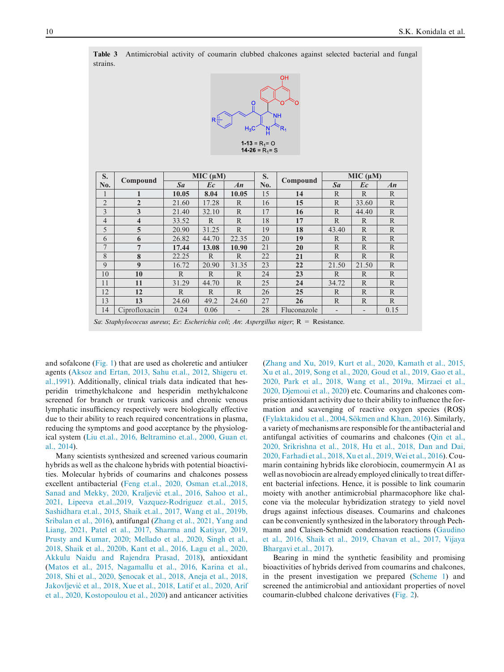Table 3 Antimicrobial activity of coumarin clubbed chalcones against selected bacterial and fungal strains.



| S.             |                         |              | MIC (µM)     |              | S.  |             | MIC (µM)          |                          |              |
|----------------|-------------------------|--------------|--------------|--------------|-----|-------------|-------------------|--------------------------|--------------|
| No.            | Compound                | $S_{a}$      | Ec           | An           | No. | Compound    | $S_{a}$           | Ec                       | An           |
| 1              | 1                       | 10.05        | 8.04         | 10.05        | 15  | 14          | $\mathbb{R}$      | $\mathbb{R}$             | $\mathbb{R}$ |
| $\overline{2}$ | $\overline{2}$          | 21.60        | 17.28        | $\mathbb{R}$ | 16  | 15          | $\mathbb{R}$      | 33.60                    | $\mathbb{R}$ |
| 3              | 3                       | 21.40        | 32.10        | $\mathbb{R}$ | 17  | 16          | $\mathbb{R}$      | 44.40                    | $\mathbb{R}$ |
| $\overline{4}$ | $\overline{\mathbf{4}}$ | 33.52        | $\mathbb{R}$ | $\mathbb{R}$ | 18  | 17          | $\mathbb{R}$      | $\mathbb{R}$             | $\mathbb{R}$ |
| 5              | 5                       | 20.90        | 31.25        | $\mathbb{R}$ | 19  | 18          | 43.40             | $\mathbb{R}$             | $\mathbb{R}$ |
| 6              | 6                       | 26.82        | 44.70        | 22.35        | 20  | 19          | R                 | $\mathbb{R}$             | $\mathbb{R}$ |
| 7              | 7                       | 17.44        | 13.08        | 10.90        | 21  | 20          | $\mathbb{R}$      | $\mathbb{R}$             | $\mathbb{R}$ |
| 8              | 8                       | 22.25        | $\mathsf{R}$ | $\mathbb{R}$ | 22  | 21          | $\mathbb{R}$      | $\mathbb{R}$             | $\mathbb{R}$ |
| $\mathbf Q$    | $\boldsymbol{9}$        | 16.72        | 20.90        | 31.35        | 23  | 22          | 21.50             | 21.50                    | $\mathbb{R}$ |
| 10             | 10                      | $\mathbb{R}$ | $\mathsf{R}$ | $\mathbb{R}$ | 24  | 23          | $\mathbb{R}$      | $\mathbb{R}$             | $\mathbb{R}$ |
| 11             | 11                      | 31.29        | 44.70        | $\mathbb{R}$ | 25  | 24          | 34.72             | $\mathbb{R}$             | $\mathbb{R}$ |
| 12             | 12                      | $\mathbb{R}$ | $\mathsf{R}$ | $\mathbb{R}$ | 26  | 25          | $\mathbb{R}$      | $\mathbb{R}$             | $\mathbb{R}$ |
| 13             | 13                      | 24.60        | 49.2         | 24.60        | 27  | 26          | $\mathbb{R}$      | $\mathbb{R}$             | $\mathbb{R}$ |
| 14             | Ciprofloxacin           | 0.24         | 0.06         | -            | 28  | Fluconazole | $\qquad \qquad -$ | $\overline{\phantom{a}}$ | 0.15         |

*Sa*: *Staphylococcus aureus*; *Ec*: *Escherichia coli*; *An*: *Aspergillus niger*; R = Resistance.

and sofalcone (Fig. 1) that are used as choleretic and antiulcer agents (Aksoz and Ertan, 2013, Sahu et.al., 2012, Shigeru et. al.,1991). Additionally, clinical trials data indicated that hesperidin trimethylchalcone and hesperidin methylchalcone screened for branch or trunk varicosis and chronic venous lymphatic insufficiency respectively were biologically effective due to their ability to reach required concentrations in plasma, reducing the symptoms and good acceptance by the physiological system (Liu et.al., 2016, Beltramino et.al., 2000, Guan et. al., 2014).

Many scientists synthesized and screened various coumarin hybrids as well as the chalcone hybrids with potential bioactivities. Molecular hybrids of coumarins and chalcones possess excellent antibacterial (Feng et.al., 2020, Osman et.al.,2018, Sanad and Mekky, 2020, Kraljević et.al., 2016, Sahoo et al., 2021, Lipeeva et.al.,2019, Vazquez-Rodriguez et.al., 2015, Sashidhara et.al., 2015, Shaik et.al., 2017, Wang et al., 2019b, Sribalan et al., 2016), antifungal (Zhang et al., 2021, Yang and Liang, 2021, Patel et al., 2017, Sharma and Katiyar, 2019, Prusty and Kumar, 2020; Mellado et al., 2020, Singh et al., 2018, Shaik et al., 2020b, Kant et al., 2016, Lagu et al., 2020, Akkulu Naidu and Rajendra Prasad, 2018), antioxidant (Matos et al., 2015, Nagamallu et al., 2016, Karina et al., 2018, Shi et al., 2020, Senocak et al., 2018, Aneja et al., 2018, Jakovljević et al., 2018, Xue et al., 2018, Latif et al., 2020, Arif et al., 2020, Kostopoulou et al., 2020) and anticancer activities (Zhang and Xu, 2019, Kurt et al., 2020, Kamath et al., 2015, Xu et al., 2019, Song et al., 2020, Goud et al., 2019, Gao et al., 2020, Park et al., 2018, Wang et al., 2019a, Mirzaei et al., 2020, Djemoui et al., 2020) etc. Coumarins and chalcones comprise antioxidant activity due to their ability to influence the formation and scavenging of reactive oxygen species (ROS) (Fylaktakidou et al., 2004, Sökmen and Khan, 2016). Similarly, a variety of mechanisms are responsible for the antibacterial and antifungal activities of coumarins and chalcones (Qin et al., 2020, Srikrishna et al., 2018, Hu et al., 2018, Dan and Dai, 2020, Farhadi et al., 2018, Xu et al., 2019, Wei et al., 2016). Coumarin containing hybrids like clorobiocin, coumermycin A1 as well as novobiocin are already employed clinically to treat different bacterial infections. Hence, it is possible to link coumarin moiety with another antimicrobial pharmacophore like chalcone via the molecular hybridization strategy to yield novel drugs against infectious diseases. Coumarins and chalcones can be conveniently synthesized in the laboratory through Pechmann and Claisen-Schmidt condensation reactions (Gaudino et al., 2016, Shaik et al., 2019, Chavan et al., 2017, Vijaya Bhargavi et.al., 2017).

Bearing in mind the synthetic feasibility and promising bioactivities of hybrids derived from coumarins and chalcones, in the present investigation we prepared (Scheme 1) and screened the antimicrobial and antioxidant properties of novel coumarin-clubbed chalcone derivatives (Fig. 2).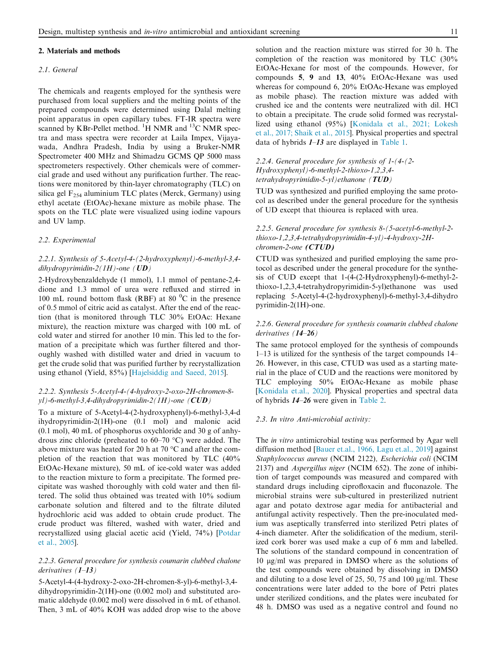#### 2. Materials and methods

#### *2.1. General*

The chemicals and reagents employed for the synthesis were purchased from local suppliers and the melting points of the prepared compounds were determined using Dalal melting point apparatus in open capillary tubes. FT-IR spectra were scanned by KBr-Pellet method. <sup>1</sup>H NMR and <sup>13</sup>C NMR spectra and mass spectra were recorder at Laila Impex, Vijayawada, Andhra Pradesh, India by using a Bruker-NMR Spectrometer 400 MHz and Shimadzu GCMS QP 5000 mass spectrometers respectively. Other chemicals were of commercial grade and used without any purification further. The reactions were monitored by thin-layer chromatography (TLC) on silica gel  $F_{254}$  aluminium TLC plates (Merck, Germany) using ethyl acetate (EtOAc)-hexane mixture as mobile phase. The spots on the TLC plate were visualized using iodine vapours and UV lamp.

#### *2.2. Experimental*

#### *2.2.1. Synthesis of 5-Acetyl-4-(2-hydroxyphenyl)-6-methyl-3,4 dihydropyrimidin-2(1H)-one (*UD*)*

2-Hydroxybenzaldehyde (1 mmol), 1.1 mmol of pentane-2,4 dione and 1.3 mmol of urea were refluxed and stirred in 100 mL round bottom flask (RBF) at 80  $^{\circ}$ C in the presence of 0.5 mmol of citric acid as catalyst. After the end of the reaction (that is monitored through TLC 30% EtOAc: Hexane mixture), the reaction mixture was charged with 100 mL of cold water and stirred for another 10 min. This led to the formation of a precipitate which was further filtered and thoroughly washed with distilled water and dried in vacuum to get the crude solid that was purified further by recrystallization using ethanol (Yield, 85%) [Hajelsiddig and Saeed, 2015].

#### *2.2.2. Synthesis 5-Acetyl-4-(4-hydroxy-2-oxo-2H-chromen-8 yl)-6-methyl-3,4-dihydropyrimidin-2(1H)-one (*CUD*)*

To a mixture of 5-Acetyl-4-(2-hydroxyphenyl)-6-methyl-3,4-d ihydropyrimidin-2(1H)-one (0.1 mol) and malonic acid (0.1 mol), 40 mL of phosphorus oxychloride and 30 g of anhydrous zinc chloride (preheated to  $60-70$  °C) were added. The above mixture was heated for 20 h at 70  $\degree$ C and after the completion of the reaction that was monitored by TLC (40% EtOAc-Hexane mixture), 50 mL of ice-cold water was added to the reaction mixture to form a precipitate. The formed precipitate was washed thoroughly with cold water and then filtered. The solid thus obtained was treated with 10% sodium carbonate solution and filtered and to the filtrate diluted hydrochloric acid was added to obtain crude product. The crude product was filtered, washed with water, dried and recrystallized using glacial acetic acid (Yield, 74%) [Potdar et al., 2005].

#### *2.2.3. General procedure for synthesis coumarin clubbed chalone derivatives (*1*–*13*)*

5-Acetyl-4-(4-hydroxy-2-oxo-2H-chromen-8-yl)-6-methyl-3,4 dihydropyrimidin-2(1H)-one (0.002 mol) and substituted aromatic aldehyde (0.002 mol) were dissolved in 6 mL of ethanol. Then, 3 mL of 40% KOH was added drop wise to the above solution and the reaction mixture was stirred for 30 h. The completion of the reaction was monitored by TLC (30% EtOAc-Hexane for most of the compounds. However, for compounds 5, 9 and 13, 40% EtOAc-Hexane was used whereas for compound 6, 20% EtOAc-Hexane was employed as mobile phase). The reaction mixture was added with crushed ice and the contents were neutralized with dil. HCl to obtain a precipitate. The crude solid formed was recrystallized using ethanol (95%) [Konidala et al., 2021; Lokesh et al., 2017; Shaik et al., 2015]. Physical properties and spectral data of hybrids 1–13 are displayed in Table 1.

#### *2.2.4. General procedure for synthesis of 1-(4-(2- Hydroxyphenyl)-6-methyl-2-thioxo-1,2,3,4 tetrahydropyrimidin-5-yl)ethanone (*TUD*)*

TUD was synthesized and purified employing the same protocol as described under the general procedure for the synthesis of UD except that thiourea is replaced with urea.

#### *2.2.5. General procedure for synthesis 8-(5-acetyl-6-methyl-2 thioxo-1,2,3,4-tetrahydropyrimidin-4-yl)-4-hydroxy-2Hchromen-2-one* (CTUD)

CTUD was synthesized and purified employing the same protocol as described under the general procedure for the synthesis of CUD except that 1-(4-(2-Hydroxyphenyl)-6-methyl-2 thioxo-1,2,3,4-tetrahydropyrimidin-5-yl)ethanone was used replacing 5-Acetyl-4-(2-hydroxyphenyl)-6-methyl-3,4-dihydro pyrimidin-2(1H)-one.

#### *2.2.6. General procedure for synthesis coumarin clubbed chalone derivatives (*14*–*26*)*

The same protocol employed for the synthesis of compounds 1–13 is utilized for the synthesis of the target compounds 14– 26. However, in this case, CTUD was used as a starting material in the place of CUD and the reactions were monitored by TLC employing 50% EtOAc-Hexane as mobile phase [Konidala et.al., 2020]. Physical properties and spectral data of hybrids 14–26 were given in Table 2.

#### *2.3. In vitro Anti-microbial activity:*

The *in vitro* antimicrobial testing was performed by Agar well diffusion method [Bauer et.al., 1966, Lagu et.al., 2019] against *Staphylococcus aureus* (NCIM 2122)*, Escherichia coli* (NCIM 2137) and *Aspergillus niger* (NCIM 652)*.* The zone of inhibition of target compounds was measured and compared with standard drugs including ciprofloxacin and fluconazole. The microbial strains were sub-cultured in presterilized nutrient agar and potato dextrose agar media for antibacterial and antifungal activity respectively. Then the pre-inoculated medium was aseptically transferred into sterilized Petri plates of 4-inch diameter. After the solidification of the medium, sterilized cork borer was used make a cup of 6 mm and labelled. The solutions of the standard compound in concentration of 10 lg/ml was prepared in DMSO where as the solutions of the test compounds were obtained by dissolving in DMSO and diluting to a dose level of 25, 50, 75 and 100  $\mu$ g/ml. These concentrations were later added to the bore of Petri plates under sterilized conditions, and the plates were incubated for 48 h. DMSO was used as a negative control and found no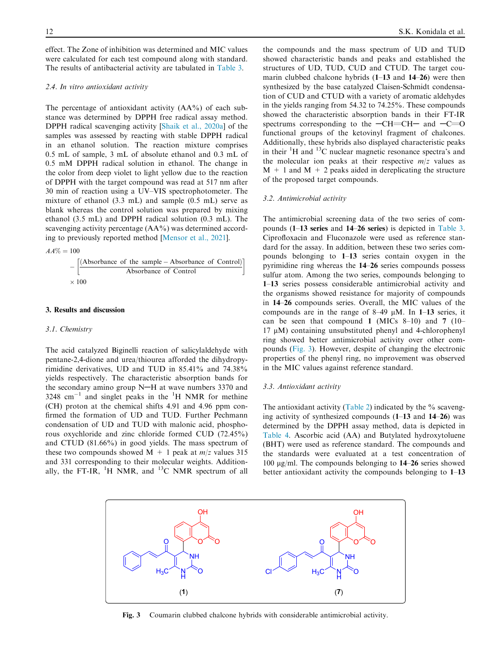effect. The Zone of inhibition was determined and MIC values were calculated for each test compound along with standard. The results of antibacterial activity are tabulated in Table 3.

#### *2.4. In vitro antioxidant activity*

The percentage of antioxidant activity  $(AA^{\phi})$  of each substance was determined by DPPH free radical assay method. DPPH radical scavenging activity [Shaik et al., 2020a] of the samples was assessed by reacting with stable DPPH radical in an ethanol solution. The reaction mixture comprises 0.5 mL of sample, 3 mL of absolute ethanol and 0.3 mL of 0.5 mM DPPH radical solution in ethanol. The change in the color from deep violet to light yellow due to the reaction of DPPH with the target compound was read at 517 nm after 30 min of reaction using a UV–VIS spectrophotometer. The mixture of ethanol (3.3 mL) and sample (0.5 mL) serve as blank whereas the control solution was prepared by mixing ethanol (3.5 mL) and DPPH radical solution (0.3 mL). The scavenging activity percentage (AA%) was determined according to previously reported method [Mensor et al., 2021].



$$
-\left[\frac{(Absorbance of the sample - Absorbance of Control)}{Absorbance of Control}\right]
$$
  
× 100

#### 3. Results and discussion

#### *3.1. Chemistry*

The acid catalyzed Biginelli reaction of salicylaldehyde with pentane-2,4-dione and urea/thiourea afforded the dihydropyrimidine derivatives, UD and TUD in 85.41% and 74.38% yields respectively. The characteristic absorption bands for the secondary amino group  $N-H$  at wave numbers 3370 and  $3248$  cm<sup>-1</sup> and singlet peaks in the <sup>1</sup>H NMR for methine (CH) proton at the chemical shifts 4.91 and 4.96 ppm confirmed the formation of UD and TUD. Further Pechmann condensation of UD and TUD with malonic acid, phosphorous oxychloride and zinc chloride formed CUD (72.45%) and CTUD (81.66%) in good yields. The mass spectrum of these two compounds showed  $M + 1$  peak at  $m/z$  values 315 and 331 corresponding to their molecular weights. Additionally, the FT-IR,  ${}^{1}H$  NMR, and  ${}^{13}C$  NMR spectrum of all

the compounds and the mass spectrum of UD and TUD showed characteristic bands and peaks and established the structures of UD, TUD, CUD and CTUD. The target coumarin clubbed chalcone hybrids (1–13 and 14–26) were then synthesized by the base catalyzed Claisen-Schmidt condensation of CUD and CTUD with a variety of aromatic aldehydes in the yields ranging from 54.32 to 74.25%. These compounds showed the characteristic absorption bands in their FT-IR spectrums corresponding to the  $-CH=CH-$  and  $-C=O$ functional groups of the ketovinyl fragment of chalcones. Additionally, these hybrids also displayed characteristic peaks in their <sup>1</sup>H and <sup>13</sup>C nuclear magnetic resonance spectra's and the molecular ion peaks at their respective  $m/z$  values as  $M + 1$  and  $M + 2$  peaks aided in dereplicating the structure of the proposed target compounds.

#### *3.2. Antimicrobial activity*

The antimicrobial screening data of the two series of compounds (1–13 series and 14–26 series) is depicted in Table 3. Ciprofloxacin and Fluconazole were used as reference standard for the assay. In addition, between these two series compounds belonging to 1–13 series contain oxygen in the pyrimidine ring whereas the 14–26 series compounds possess sulfur atom. Among the two series, compounds belonging to 1–13 series possess considerable antimicrobial activity and the organisms showed resistance for majority of compounds in 14–26 compounds series. Overall, the MIC values of the compounds are in the range of  $8-49 \mu M$ . In 1–13 series, it can be seen that compound 1 (MICs  $8-10$ ) and 7 (10–  $17 \mu M$ ) containing unsubstituted phenyl and 4-chlorophenyl ring showed better antimicrobial activity over other compounds (Fig. 3). However, despite of changing the electronic properties of the phenyl ring, no improvement was observed in the MIC values against reference standard.

#### *3.3. Antioxidant activity*

The antioxidant activity (Table 2) indicated by the  $\%$  scavenging activity of synthesized compounds (1–13 and 14–26) was determined by the DPPH assay method, data is depicted in Table 4. Ascorbic acid (AA) and Butylated hydroxytoluene (BHT) were used as reference standard. The compounds and the standards were evaluated at a test concentration of 100 mg/ml. The compounds belonging to 14–26 series showed better antioxidant activity the compounds belonging to 1–13



Fig. 3 Coumarin clubbed chalcone hybrids with considerable antimicrobial activity.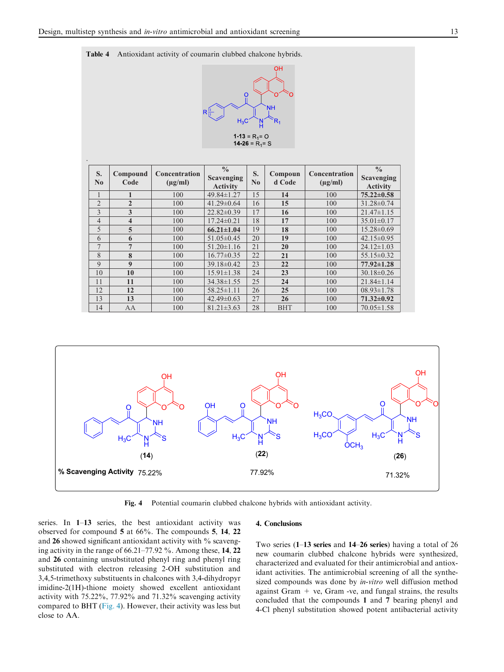.





| S.<br>$\mathbf{N}\mathbf{0}$ | Compound<br>Code        | Concentration<br>$(\mu g/ml)$ | $\frac{0}{0}$<br><b>Scavenging</b><br><b>Activity</b> | S.<br>$\bf No$ | Compoun<br>d Code | <b>Concentration</b><br>$(\mu g/ml)$ | $\frac{0}{0}$<br><b>Scavenging</b><br><b>Activity</b> |
|------------------------------|-------------------------|-------------------------------|-------------------------------------------------------|----------------|-------------------|--------------------------------------|-------------------------------------------------------|
|                              | 1                       | 100                           | 49.84±1.27                                            | 15             | 14                | 100                                  | $75.22 \pm 0.58$                                      |
| $\overline{2}$               | $\overline{2}$          | 100                           | $41.29 \pm 0.64$                                      | 16             | 15                | 100                                  | $31.28 \pm 0.74$                                      |
| 3                            | 3                       | 100                           | $22.82 \pm 0.39$                                      | 17             | 16                | 100                                  | $21.47\pm1.15$                                        |
| 4                            | $\overline{\mathbf{4}}$ | 100                           | $17.24 \pm 0.21$                                      | 18             | 17                | 100                                  | $35.01 \pm 0.17$                                      |
| 5                            | 5                       | 100                           | $66.21 \pm 1.04$                                      | 19             | 18                | 100                                  | $15.28 \pm 0.69$                                      |
| 6                            | 6                       | 100                           | $51.05 \pm 0.45$                                      | 20             | 19                | 100                                  | $42.15 \pm 0.95$                                      |
| 7                            | $\overline{7}$          | 100                           | $51.20 \pm 1.16$                                      | 21             | 20                | 100                                  | $24.12 \pm 1.03$                                      |
| 8                            | 8                       | 100                           | $16.77 \pm 0.35$                                      | 22             | 21                | 100                                  | $55.15 \pm 0.32$                                      |
| $\mathbf{Q}$                 | $\boldsymbol{9}$        | 100                           | $39.18\pm0.42$                                        | 23             | 22                | 100                                  | $77.92 \pm 1.28$                                      |
| 10                           | 10                      | 100                           | $15.91 \pm 1.38$                                      | 24             | 23                | 100                                  | $30.18 \pm 0.26$                                      |
| 11                           | 11                      | 100                           | $34.38 \pm 1.55$                                      | 25             | 24                | 100                                  | $21.84 \pm 1.14$                                      |
| 12                           | 12                      | 100                           | $58.25 \pm 1.11$                                      | 26             | 25                | 100                                  | $08.93 \pm 1.78$                                      |
| 13                           | 13                      | 100                           | $42.49 \pm 0.63$                                      | 27             | 26                | 100                                  | $71.32 \pm 0.92$                                      |
| 14                           | AA                      | 100                           | $81.21 \pm 3.63$                                      | 28             | <b>BHT</b>        | 100                                  | $70.05 \pm 1.58$                                      |



Fig. 4 Potential coumarin clubbed chalcone hybrids with antioxidant activity.

4. Conclusions

series. In 1–13 series, the best antioxidant activity was observed for compound 5 at 66%. The compounds 5, 14, 22 and 26 showed significant antioxidant activity with % scavenging activity in the range of 66.21–77.92 %. Among these, 14, 22 and 26 containing unsubstituted phenyl ring and phenyl ring substituted with electron releasing 2-OH substitution and 3,4,5-trimethoxy substituents in chalcones with 3,4-dihydropyr imidine-2(1H)-thione moiety showed excellent antioxidant activity with 75.22%, 77.92% and 71.32% scavenging activity compared to BHT (Fig. 4). However, their activity was less but close to AA.

# Two series (1–13 series and 14–26 series) having a total of 26 new coumarin clubbed chalcone hybrids were synthesized,

characterized and evaluated for their antimicrobial and antioxidant activities. The antimicrobial screening of all the synthesized compounds was done by *in-vitro* well diffusion method against Gram  $+$  ve, Gram -ve, and fungal strains, the results concluded that the compounds 1 and 7 bearing phenyl and 4-Cl phenyl substitution showed potent antibacterial activity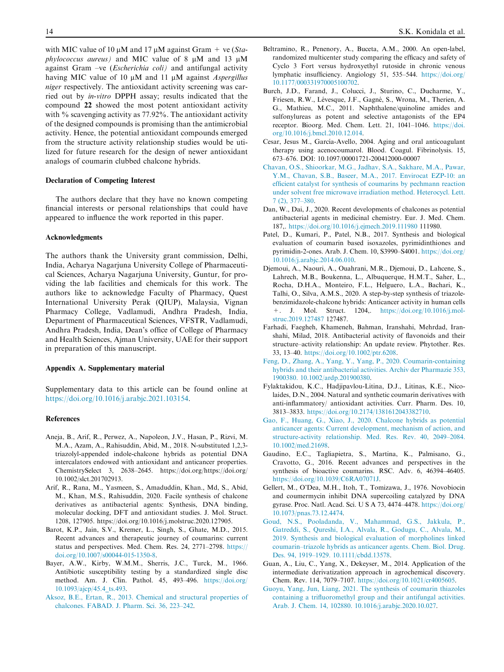with MIC value of 10  $\mu$ M and 17  $\mu$ M against Gram  $+$  ve (*Staphylococcus aureus*) and MIC value of 8  $\mu$ M and 13  $\mu$ M against Gram –ve (*Escherichia coli)* and antifungal activity having MIC value of 10  $\mu$ M and 11  $\mu$ M against *Aspergillus niger* respectively. The antioxidant activity screening was carried out by *in-vitro* DPPH assay; results indicated that the compound 22 showed the most potent antioxidant activity with  $\%$  scavenging activity as 77.92%. The antioxidant activity of the designed compounds is promising than the antimicrobial activity. Hence, the potential antioxidant compounds emerged from the structure activity relationship studies would be utilized for future research for the design of newer antioxidant analogs of coumarin clubbed chalcone hybrids.

#### Declaration of Competing Interest

The authors declare that they have no known competing financial interests or personal relationships that could have appeared to influence the work reported in this paper.

#### Acknowledgments

The authors thank the University grant commission, Delhi, India, Acharya Nagarjuna University College of Pharmaceutical Sciences, Acharya Nagarjuna University, Guntur, for providing the lab facilities and chemicals for this work. The authors like to acknowledge Faculty of Pharmacy, Quest International University Perak (QIUP), Malaysia, Vignan Pharmacy College, Vadlamudi, Andhra Pradesh, India, Department of Pharmaceutical Sciences, VFSTR, Vadlamudi, Andhra Pradesh, India, Dean's office of College of Pharmacy and Health Sciences, Ajman University, UAE for their support in preparation of this manuscript.

#### Appendix A. Supplementary material

Supplementary data to this article can be found online at https://doi.org/10.1016/j.arabjc.2021.103154.

#### References

- Aneja, B., Arif, R., Perwez, A., Napoleon, J.V., Hasan, P., Rizvi, M. M.A., Azam, A., Rahisuddin, Abid, M., 2018. N-substituted 1,2,3 triazolyl-appended indole-chalcone hybrids as potential DNA intercalators endowed with antioxidant and anticancer properties. ChemistrySelect 3, 2638–2645. https://doi.org/https://doi.org/ 10.1002/slct.201702913.
- Arif, R., Rana, M., Yasmeen, S., Amaduddin, Khan., Md, S., Abid, M., Khan, M.S., Rahisuddin, 2020. Facile synthesis of chalcone derivatives as antibacterial agents: Synthesis, DNA binding, molecular docking, DFT and antioxidant studies. J. Mol. Struct. 1208, 127905. https://doi.org/10.1016/j.molstruc.2020.127905.
- Barot, K.P., Jain, S.V., Kremer, L., Singh, S., Ghate, M.D., 2015. Recent advances and therapeutic journey of coumarins: current status and perspectives. Med. Chem. Res. 24, 2771–2798. https:// doi.org/10.1007/s00044-015-1350-8.
- Bayer, A.W., Kirby, W.M.M., Sherris, J.C., Turck, M., 1966. Antibiotic susceptibility testing by a standardized single disc method. Am. J. Clin. Pathol. 45, 493–496. https://doi.org/ 10.1093/ajcp/45.4\_ts.493.
- Aksoz, B.E., Ertan, R., 2013. Chemical and structural properties of chalcones. FABAD. J. Pharm. Sci. 36, 223–242.
- Beltramino, R., Penenory, A., Buceta, A.M., 2000. An open-label, randomized multicenter study comparing the efficacy and safety of Cyclo 3 Fort versus hydroxyethyl rutoside in chronic venous lymphatic insufficiency. Angiology 51, 535–544. https://doi.org/ 10.1177/000331970005100702.
- Burch, J.D., Farand, J., Colucci, J., Sturino, C., Ducharme, Y., Friesen, R.W., Lévesque, J.F., Gagné, S., Wrona, M., Therien, A. G., Mathieu, M.C., 2011. Naphthalene/quinoline amides and sulfonylureas as potent and selective antagonists of the EP4 receptor. Bioorg. Med. Chem. Lett. 21, 1041–1046. https://doi. org/10.1016/j.bmcl.2010.12.014.
- Cesar, Jesus M., García-Avello, 2004. Aging and oral anticoagulant therapy using acenocoumarol. Blood. Coagul. Fibrinolysis. 15, 673–676. DOI: 10.1097/00001721-200412000-00007
- Chavan, O.S., Shioorkar, M.G., Jadhav, S.A., Sakhare, M.A., Pawar, Y.M., Chavan, S.B., Baseer, M.A., 2017. Envirocat EZP-10: an efficient catalyst for synthesis of coumarins by pechmann reaction under solvent free microwave irradiation method. Heterocycl. Lett. 7 (2), 377–380.
- Dan, W., Dai, J., 2020. Recent developments of chalcones as potential antibacterial agents in medicinal chemistry. Eur. J. Med. Chem. 187,. https://doi.org/10.1016/j.ejmech.2019.111980 111980.
- Patel, D., Kumari, P., Patel, N.B., 2017. Synthesis and biological evaluation of coumarin based isoxazoles, pyrimidinthiones and pyrimidin-2-ones. Arab. J. Chem. 10, S3990–S4001. https://doi.org/ 10.1016/j.arabjc.2014.06.010.
- Djemoui, A., Naouri, A., Ouahrani, M.R., Djemoui, D., Lahcene, S., Lahrech, M.B., Boukenna, L., Albuquerque, H.M.T., Saher, L., Rocha, D.H.A., Monteiro, F.L., Helguero, L.A., Bachari, K., Talhi, O., Silva, A.M.S., 2020. A step-by-step synthesis of triazolebenzimidazole-chalcone hybrids: Anticancer activity in human cells +. J. Mol. Struct. 1204,. https://doi.org/10.1016/j.molstruc.2019.127487 127487.
- Farhadi, Faegheh, Khameneh, Bahman, Iranshahi, Mehrdad, Iranshahi, Milad, 2018. Antibacterial activity of flavonoids and their structure–activity relationship: An update review. Phytother. Res. 33, 13–40. https://doi.org/10.1002/ptr.6208.
- Feng, D., Zhang, A., Yang, Y., Yang, P., 2020. Coumarin-containing hybrids and their antibacterial activities. Archiv der Pharmazie 353, 1900380. 10.1002/ardp.201900380.
- Fylaktakidou, K.C., Hadjipavlou-Litina, D.J., Litinas, K.E., Nicolaides, D.N., 2004. Natural and synthetic coumarin derivatives with anti-inflammatory/ antioxidant activities. Curr. Pharm. Des. 10, 3813–3833. https://doi.org/10.2174/1381612043382710.
- Gao, F., Huang, G., Xiao, J., 2020. Chalcone hybrids as potential anticancer agents: Current development, mechanism of action, and structure-activity relationship. Med. Res. Rev. 40, 2049–2084. 10.1002/med.21698.
- Gaudino, E.C., Tagliapietra, S., Martina, K., Palmisano, G., Cravotto, G., 2016. Recent advances and perspectives in the synthesis of bioactive coumarins. RSC. Adv. 6, 46394–46405. https://doi.org/10.1039/C6RA07071J.
- Gellert, M., O'Dea, M.H., Itoh, T., Tomizawa, J., 1976. Novobiocin and coumermycin inhibit DNA supercoiling catalyzed by DNA gyrase. Proc. Natl. Acad. Sci. U S A 73, 4474–4478. https://doi.org/ 10.1073/pnas.73.12.4474.
- Goud, N.S., Pooladanda, V., Mahammad, G.S., Jakkula, P., Gatreddi, S., Qureshi, I.A., Alvala, R., Godugu, C., Alvala, M., 2019. Synthesis and biological evaluation of morpholines linked coumarin–triazole hybrids as anticancer agents. Chem. Biol. Drug. Des. 94, 1919–1929. 10.1111/cbdd.13578.
- Guan, A., Liu, C., Yang, X., Dekeyser, M., 2014. Application of the intermediate derivatization approach in agrochemical discovery. Chem. Rev. 114, 7079–7107. https://doi.org/10.1021/cr4005605.
- Guoyu, Yang, Jun, Liang, 2021. The synthesis of coumarin thiazoles containing a trifluoromethyl group and their antifungal activities. Arab. J. Chem. 14, 102880. 10.1016/j.arabjc.2020.10.027.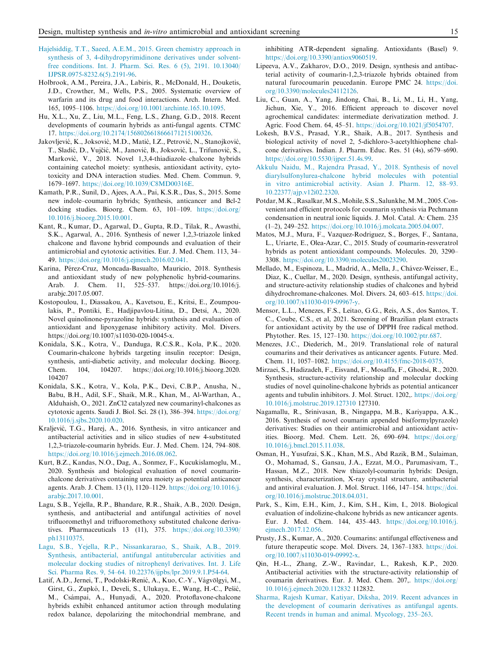- Hajelsiddig, T.T., Saeed, A.E.M., 2015. Green chemistry approach in synthesis of 3, 4-dihydropyrimidinone derivatives under solventfree conditions. Int. J. Pharm. Sci. Res. 6 (5), 2191. 10.13040/ IJPSR.0975-8232.6(5).2191-96.
- Holbrook, A.M., Pereira, J.A., Labiris, R., McDonald, H., Douketis, J.D., Crowther, M., Wells, P.S., 2005. Systematic overview of warfarin and its drug and food interactions. Arch. Intern. Med. 165, 1095–1106. https://doi.org/10.1001/archinte.165.10.1095.
- Hu, X.L., Xu, Z., Liu, M.L., Feng, L.S., Zhang, G.D., 2018. Recent developments of coumarin hybrids as anti-fungal agents. CTMC 17. https://doi.org/10.2174/1568026618666171215100326.
- Jakovljević, K., Joksović, M.D., Matić, I.Z., Petrović, N., Stanojković, T., Sladić, D., Vujčić, M., Janović, B., Joksović, L., Trifunović, S., Marković, V., 2018. Novel 1,3,4-thiadiazole-chalcone hybrids containing catechol moiety: synthesis, antioxidant activity, cytotoxicity and DNA interaction studies. Med. Chem. Commun. 9, 1679–1697. https://doi.org/10.1039/C8MD00316E.
- Kamath, P.R., Sunil, D., Ajees, A.A., Pai, K.S.R., Das, S., 2015. Some new indole–coumarin hybrids; Synthesis, anticancer and Bcl-2 docking studies. Bioorg. Chem. 63, 101–109. https://doi.org/ 10.1016/j.bioorg.2015.10.001.
- Kant, R., Kumar, D., Agarwal, D., Gupta, R.D., Tilak, R., Awasthi, S.K., Agarwal, A., 2016. Synthesis of newer 1,2,3-triazole linked chalcone and flavone hybrid compounds and evaluation of their antimicrobial and cytotoxic activities. Eur. J. Med. Chem. 113, 34– 49. https://doi.org/10.1016/j.ejmech.2016.02.041.
- Karina, Pérez-Cruz, Moncada-Basualto, Mauricio, 2018. Synthesis and antioxidant study of new polyphenolic hybrid-coumarins. Arab. J. Chem. 11, 525–537. https://doi.org/10.1016/j. arabjc.2017.05.007.
- Kostopoulou, I., Diassakou, A., Kavetsou, E., Kritsi, E., Zoumpoulakis, P., Pontiki, E., Hadjipavlou-Litina, D., Detsi, A., 2020. Novel quinolinone-pyrazoline hybrids: synthesis and evaluation of antioxidant and lipoxygenase inhibitory activity. Mol. Divers. https://doi.org/10.1007/s11030-020-10045-x.
- Konidala, S.K., Kotra, V., Danduga, R.C.S.R., Kola, P.K., 2020. Coumarin-chalcone hybrids targeting insulin receptor: Design, synthesis, anti-diabetic activity, and molecular docking. Bioorg. Chem. 104, 104207. https://doi.org/10.1016/j.bioorg.2020. 104207
- Konidala, S.K., Kotra, V., Kola, P.K., Devi, C.B.P., Anusha, N., Babu, B.H., Adil, S.F., Shaik, M.R., Khan, M., Al-Warthan, A., Alduhaish, O., 2021. ZnCl2 catalyzed new coumarinyl-chalcones as cytotoxic agents. Saudi J. Biol. Sci. 28 (1), 386–394. https://doi.org/ 10.1016/j.sjbs.2020.10.020.
- Kraljević, T.G., Harej, A., 2016. Synthesis, in vitro anticancer and antibacterial activities and in silico studies of new 4-substituted 1,2,3-triazole-coumarin hybrids. Eur. J. Med. Chem. 124, 794–808. https://doi.org/10.1016/j.ejmech.2016.08.062.
- Kurt, B.Z., Kandas, N.O., Dag, A., Sonmez, F., Kucukislamoglu, M., 2020. Synthesis and biological evaluation of novel coumarinchalcone derivatives containing urea moiety as potential anticancer agents. Arab. J. Chem. 13 (1), 1120–1129. https://doi.org/10.1016/j. arabjc.2017.10.001.
- Lagu, S.B., Yejella, R.P., Bhandare, R.R., Shaik, A.B., 2020. Design, synthesis, and antibacterial and antifungal activities of novel trifluoromethyl and trifluoromethoxy substituted chalcone derivatives. Pharmaceuticals 13 (11), 375. https://doi.org/10.3390/ ph13110375.
- Lagu, S.B., Yejella, R.P., Nissankararao, S., Shaik, A.B., 2019. Synthesis, antibacterial, antifungal antitubercular activities and molecular docking studies of nitrophenyl derivatives. Int. J. Life Sci. Pharma Res. 9, 54–64. 10.22376/ijpbs/lpr.2019.9.1.P54-64.
- Latif, A.D., Jernei, T., Podolski-Renić, A., Kuo, C.-Y., Vágvölgyi, M., Girst, G., Zupkó, I., Develi, S., Ulukaya, E., Wang, H.-C., Pešić, M., Csámpai, A., Hunyadi, A., 2020. Protoflavone-chalcone hybrids exhibit enhanced antitumor action through modulating redox balance, depolarizing the mitochondrial membrane, and

inhibiting ATR-dependent signaling. Antioxidants (Basel) 9. https://doi.org/10.3390/antiox9060519.

- Lipeeva, A.V., Zakharov, D.O., 2019. Design, synthesis and antibacterial activity of coumarin-1,2,3-triazole hybrids obtained from natural furocoumarin peucedanin. Europe PMC 24. https://doi. org/10.3390/molecules24112126.
- Liu, C., Guan, A., Yang, Jindong, Chai, B., Li, M., Li, H., Yang, Jichun, Xie, Y., 2016. Efficient approach to discover novel agrochemical candidates: intermediate derivatization method. J. Agric. Food Chem. 64, 45–51. https://doi.org/10.1021/jf5054707.
- Lokesh, B.V.S., Prasad, Y.R., Shaik, A.B., 2017. Synthesis and biological activity of novel 2, 5-dichloro-3-acetylthiophene chalcone derivatives. Indian. J. Pharm. Educ. Res. 51 (4s), s679–s690. https://doi.org/10.5530/ijper.51.4s.99.
- Akkulu Naidu, M., Rajendra Prasad, Y., 2018. Synthesis of novel diarylsulfonylurea-chalcone hybrid molecules with potential in vitro antimicrobial activity. Asian J. Pharm. 12, 88–93. 10.22377/ajp.v12i02.2320.
- Potdar,M.K.,Rasalkar,M.S.,Mohile,S.S., Salunkhe,M.M., 2005.Convenient and efficient protocols for coumarin synthesis via Pechmann condensation in neutral ionic liquids. J. Mol. Catal. A: Chem. 235 (1–2), 249–252. https://doi.org/10.1016/j.molcata.2005.04.007.
- Matos, M.J., Mura, F., Vazquez-Rodriguez, S., Borges, F., Santana, L., Uriarte, E., Olea-Azar, C., 2015. Study of coumarin-resveratrol hybrids as potent antioxidant compounds. Molecules. 20, 3290– 3308. https://doi.org/10.3390/molecules20023290.
- Mellado, M., Espinoza, L., Madrid, A., Mella, J., Chávez-Weisser, E., Diaz, K., Cuellar, M., 2020. Design, synthesis, antifungal activity, and structure-activity relationship studies of chalcones and hybrid dihydrochromane-chalcones. Mol. Divers. 24, 603–615. https://doi. org/10.1007/s11030-019-09967-y.
- Mensor, L.L., Menezes, F.S., Leitao, G.G., Reis, A.S., dos Santos, T. C., Coube, C.S., et al, 2021. Screening of Brazilian plant extracts for antioxidant activity by the use of DPPH free radical method. Phytother. Res. 15, 127–130. https://doi.org/10.1002/ptr.687.
- Menezes, J.C., Diederich, M., 2019. Translational role of natural coumarins and their derivatives as anticancer agents. Future. Med. Chem. 11, 1057–1082. https://doi.org/10.4155/fmc-2018-0375.
- Mirzaei, S., Hadizadeh, F., Eisvand, F., Mosaffa, F., Ghodsi, R., 2020. Synthesis, structure-activity relationship and molecular docking studies of novel quinoline-chalcone hybrids as potential anticancer agents and tubulin inhibitors. J. Mol. Struct. 1202,. https://doi.org/ 10.1016/j.molstruc.2019.127310 127310.
- Nagamallu, R., Srinivasan, B., Ningappa, M.B., Kariyappa, A.K., 2016. Synthesis of novel coumarin appended bis(formylpyrazole) derivatives: Studies on their antimicrobial and antioxidant activities. Bioorg. Med. Chem. Lett. 26, 690–694. https://doi.org/ 10.1016/j.bmcl.2015.11.038.
- Osman, H., Yusufzai, S.K., Khan, M.S., Abd Razik, B.M., Sulaiman, O., Mohamad, S., Gansau, J.A., Ezzat, M.O., Parumasivam, T., Hassan, M.Z., 2018. New thiazolyl-coumarin hybrids: Design, synthesis, characterization, X-ray crystal structure, antibacterial and antiviral evaluation. J. Mol. Struct. 1166, 147–154. https://doi. org/10.1016/j.molstruc.2018.04.031.
- Park, S., Kim, E.H., Kim, J., Kim, S.H., Kim, I., 2018. Biological evaluation of indolizine-chalcone hybrids as new anticancer agents. Eur. J. Med. Chem. 144, 435–443. https://doi.org/10.1016/j. ejmech.2017.12.056.
- Prusty, J.S., Kumar, A., 2020. Coumarins: antifungal effectiveness and future therapeutic scope. Mol. Divers. 24, 1367–1383. https://doi. org/10.1007/s11030-019-09992-x.
- Qin, H.-L., Zhang, Z.-W., Ravindar, L., Rakesh, K.P., 2020. Antibacterial activities with the structure-activity relationship of coumarin derivatives. Eur. J. Med. Chem. 207,. https://doi.org/ 10.1016/j.ejmech.2020.112832 112832.
- Sharma, Rajesh Kumar, Katiyar, Diksha, 2019. Recent advances in the development of coumarin derivatives as antifungal agents. Recent trends in human and animal. Mycology, 235–263.